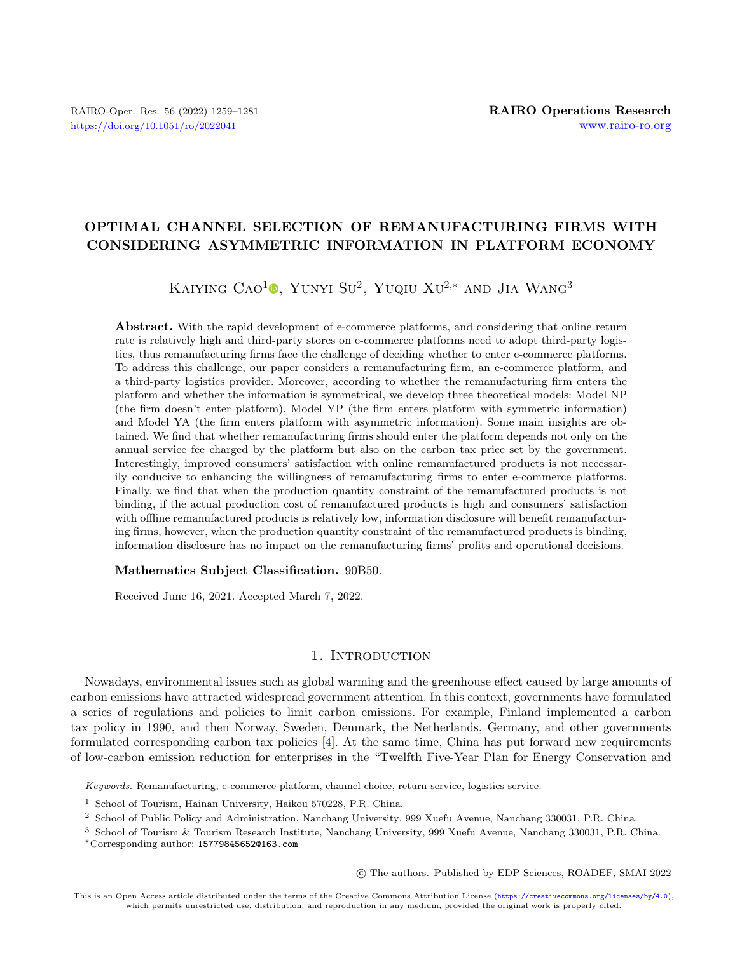# OPTIMAL CHANNEL SELECTION OF REMANUFACTURING FIRMS WITH CONSIDERING ASYMMETRIC INFORMATION IN PLATFORM ECONOMY

# KAIYING CAO<sup>1</sup><sup>®</sup>[,](https://orcid.org/0000-0003-2240-8245 ) Yunyi Su<sup>2</sup>, Yuqiu Xu<sup>2,\*</sup> and Jia Wang<sup>3</sup>

Abstract. With the rapid development of e-commerce platforms, and considering that online return rate is relatively high and third-party stores on e-commerce platforms need to adopt third-party logistics, thus remanufacturing firms face the challenge of deciding whether to enter e-commerce platforms. To address this challenge, our paper considers a remanufacturing firm, an e-commerce platform, and a third-party logistics provider. Moreover, according to whether the remanufacturing firm enters the platform and whether the information is symmetrical, we develop three theoretical models: Model NP (the firm doesn't enter platform), Model YP (the firm enters platform with symmetric information) and Model YA (the firm enters platform with asymmetric information). Some main insights are obtained. We find that whether remanufacturing firms should enter the platform depends not only on the annual service fee charged by the platform but also on the carbon tax price set by the government. Interestingly, improved consumers' satisfaction with online remanufactured products is not necessarily conducive to enhancing the willingness of remanufacturing firms to enter e-commerce platforms. Finally, we find that when the production quantity constraint of the remanufactured products is not binding, if the actual production cost of remanufactured products is high and consumers' satisfaction with offline remanufactured products is relatively low, information disclosure will benefit remanufacturing firms, however, when the production quantity constraint of the remanufactured products is binding, information disclosure has no impact on the remanufacturing firms' profits and operational decisions.

#### Mathematics Subject Classification. 90B50.

Received June 16, 2021. Accepted March 7, 2022.

# 1. INTRODUCTION

Nowadays, environmental issues such as global warming and the greenhouse effect caused by large amounts of carbon emissions have attracted widespread government attention. In this context, governments have formulated a series of regulations and policies to limit carbon emissions. For example, Finland implemented a carbon tax policy in 1990, and then Norway, Sweden, Denmark, the Netherlands, Germany, and other governments formulated corresponding carbon tax policies [\[4\]](#page-21-0). At the same time, China has put forward new requirements of low-carbon emission reduction for enterprises in the "Twelfth Five-Year Plan for Energy Conservation and

○c The authors. Published by EDP Sciences, ROADEF, SMAI 2022

This is an Open Access article distributed under the terms of the Creative Commons Attribution License (<https://creativecommons.org/licenses/by/4.0>), which permits unrestricted use, distribution, and reproduction in any medium, provided the original work is properly cited.

Keywords. Remanufacturing, e-commerce platform, channel choice, return service, logistics service.

<sup>1</sup> School of Tourism, Hainan University, Haikou 570228, P.R. China.

<sup>2</sup> School of Public Policy and Administration, Nanchang University, 999 Xuefu Avenue, Nanchang 330031, P.R. China.

<sup>3</sup> School of Tourism & Tourism Research Institute, Nanchang University, 999 Xuefu Avenue, Nanchang 330031, P.R. China. \*Corresponding author: [15779845652@163.com](mailto:15779845652@163.com)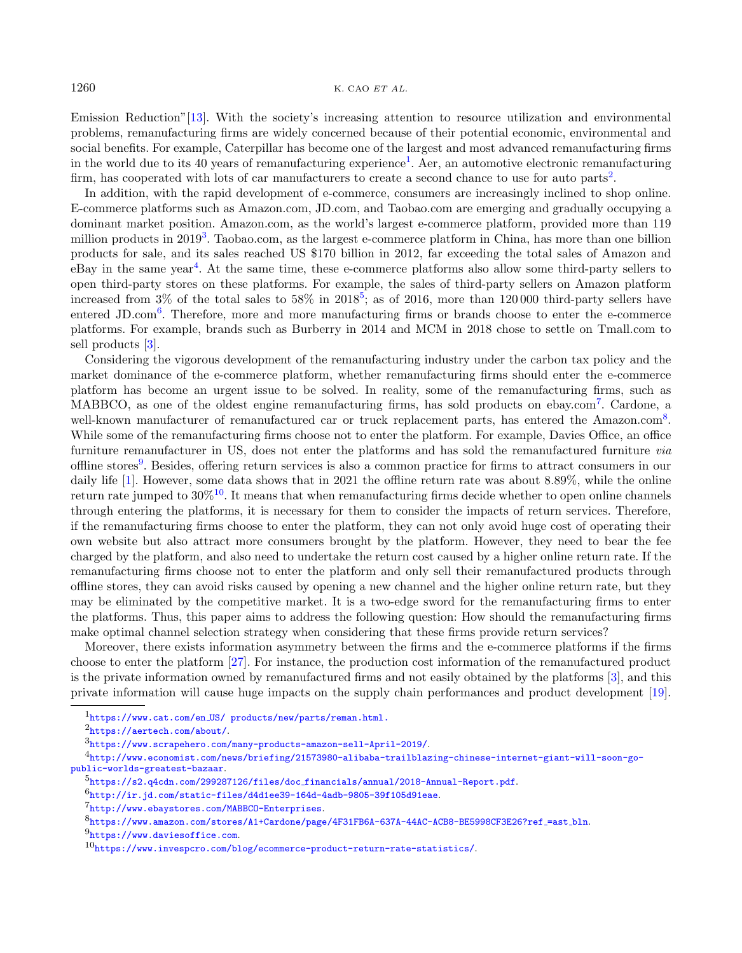Emission Reduction"[\[13\]](#page-21-1). With the society's increasing attention to resource utilization and environmental problems, remanufacturing firms are widely concerned because of their potential economic, environmental and social benefits. For example, Caterpillar has become one of the largest and most advanced remanufacturing firms in the world due to its 40 years of remanufacturing experience<sup>[1](#page-1-0)</sup>. Aer, an automotive electronic remanufacturing firm, has cooperated with lots of car manufacturers to create a second chance to use for auto parts<sup>[2](#page-1-1)</sup>.

In addition, with the rapid development of e-commerce, consumers are increasingly inclined to shop online. E-commerce platforms such as Amazon.com, JD.com, and Taobao.com are emerging and gradually occupying a dominant market position. Amazon.com, as the world's largest e-commerce platform, provided more than 119 million products in 2019<sup>[3](#page-1-2)</sup>. Taobao.com, as the largest e-commerce platform in China, has more than one billion products for sale, and its sales reached US \$170 billion in 2012, far exceeding the total sales of Amazon and eBay in the same year<sup>[4](#page-1-3)</sup>. At the same time, these e-commerce platforms also allow some third-party sellers to open third-party stores on these platforms. For example, the sales of third-party sellers on Amazon platform increased from 3% of the total sales to  $58\%$  $58\%$  in  $2018^5$ ; as of 2016, more than 120000 third-party sellers have entered JD.com<sup>[6](#page-1-5)</sup>. Therefore, more and more manufacturing firms or brands choose to enter the e-commerce platforms. For example, brands such as Burberry in 2014 and MCM in 2018 chose to settle on Tmall.com to sell products [\[3\]](#page-21-2).

Considering the vigorous development of the remanufacturing industry under the carbon tax policy and the market dominance of the e-commerce platform, whether remanufacturing firms should enter the e-commerce platform has become an urgent issue to be solved. In reality, some of the remanufacturing firms, such as MABBCO, as one of the oldest engine remanufacturing firms, has sold products on ebay.com<sup>[7](#page-1-6)</sup>. Cardone, a well-known manufacturer of remanufactured car or truck replacement parts, has entered the Amazon.com<sup>[8](#page-1-7)</sup>. While some of the remanufacturing firms choose not to enter the platform. For example, Davies Office, an office furniture remanufacturer in US, does not enter the platforms and has sold the remanufactured furniture via offline stores<sup>[9](#page-1-8)</sup>. Besides, offering return services is also a common practice for firms to attract consumers in our daily life [\[1\]](#page-20-0). However, some data shows that in 2021 the offline return rate was about 8.89%, while the online return rate jumped to  $30\%^{10}$  $30\%^{10}$  $30\%^{10}$ . It means that when remanufacturing firms decide whether to open online channels through entering the platforms, it is necessary for them to consider the impacts of return services. Therefore, if the remanufacturing firms choose to enter the platform, they can not only avoid huge cost of operating their own website but also attract more consumers brought by the platform. However, they need to bear the fee charged by the platform, and also need to undertake the return cost caused by a higher online return rate. If the remanufacturing firms choose not to enter the platform and only sell their remanufactured products through offline stores, they can avoid risks caused by opening a new channel and the higher online return rate, but they may be eliminated by the competitive market. It is a two-edge sword for the remanufacturing firms to enter the platforms. Thus, this paper aims to address the following question: How should the remanufacturing firms make optimal channel selection strategy when considering that these firms provide return services?

<span id="page-1-9"></span><span id="page-1-8"></span><span id="page-1-7"></span><span id="page-1-6"></span><span id="page-1-5"></span><span id="page-1-4"></span><span id="page-1-3"></span><span id="page-1-2"></span><span id="page-1-1"></span><span id="page-1-0"></span>Moreover, there exists information asymmetry between the firms and the e-commerce platforms if the firms choose to enter the platform [\[27\]](#page-21-3). For instance, the production cost information of the remanufactured product is the private information owned by remanufactured firms and not easily obtained by the platforms [\[3\]](#page-21-2), and this private information will cause huge impacts on the supply chain performances and product development [\[19\]](#page-21-4).

<sup>1</sup>https://www.cat.com/en [US/ products/new/parts/reman.html.](https://www.cat.com/en_US/ products/new/parts/reman.html)

<sup>2</sup><https://aertech.com/about/>.

<sup>3</sup><https://www.scrapehero.com/many-products-amazon-sell-April-2019/>.

<sup>4</sup>[http://www.economist.com/news/briefing/21573980-alibaba-trailblazing-chinese-internet-giant-will-soon-go](http://www.economist.com/news/briefing/21573980-alibaba-trailblazing-chinese-internet-giant-will-soon-go-public-worlds-greatest-bazaar)[public-worlds-greatest-bazaar](http://www.economist.com/news/briefing/21573980-alibaba-trailblazing-chinese-internet-giant-will-soon-go-public-worlds-greatest-bazaar).

<sup>5</sup>[https://s2.q4cdn.com/299287126/files/doc](https://s2.q4cdn.com/299287126/files/doc_financials/annual/2018-Annual-Report.pdf) financials/annual/2018-Annual-Report.pdf.

 $6$ <http://ir.jd.com/static-files/d4d1ee39-164d-4adb-9805-39f105d91eae>.

<sup>7</sup><http://www.ebaystores.com/MABBCO-Enterprises>.

<sup>8</sup>[https://www.amazon.com/stores/A1+Cardone/page/4F31FB6A-637A-44AC-ACB8-BE5998CF3E26?ref](https://www.amazon.com/stores/A1+Cardone/page/4F31FB6A-637A-44AC-ACB8-BE5998CF3E26?ref_=ast_bln) =ast bln.

 $9$ <https://www.daviesoffice.com>.

 $10_{\text{https://www.invespcro.com/blog/ecommerce-product-return-rate-statistics/}}$  $10_{\text{https://www.invespcro.com/blog/ecommerce-product-return-rate-statistics/}}$  $10_{\text{https://www.invespcro.com/blog/ecommerce-product-return-rate-statistics/}}$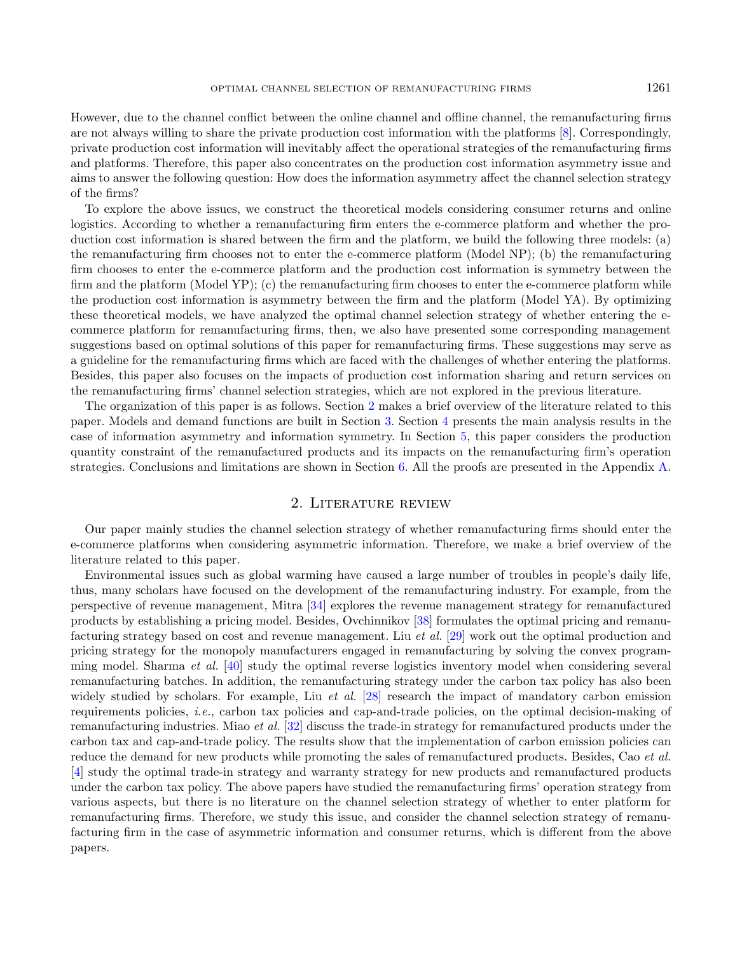However, due to the channel conflict between the online channel and offline channel, the remanufacturing firms are not always willing to share the private production cost information with the platforms [\[8\]](#page-21-5). Correspondingly, private production cost information will inevitably affect the operational strategies of the remanufacturing firms and platforms. Therefore, this paper also concentrates on the production cost information asymmetry issue and aims to answer the following question: How does the information asymmetry affect the channel selection strategy of the firms?

To explore the above issues, we construct the theoretical models considering consumer returns and online logistics. According to whether a remanufacturing firm enters the e-commerce platform and whether the production cost information is shared between the firm and the platform, we build the following three models: (a) the remanufacturing firm chooses not to enter the e-commerce platform (Model NP); (b) the remanufacturing firm chooses to enter the e-commerce platform and the production cost information is symmetry between the firm and the platform (Model YP); (c) the remanufacturing firm chooses to enter the e-commerce platform while the production cost information is asymmetry between the firm and the platform (Model YA). By optimizing these theoretical models, we have analyzed the optimal channel selection strategy of whether entering the ecommerce platform for remanufacturing firms, then, we also have presented some corresponding management suggestions based on optimal solutions of this paper for remanufacturing firms. These suggestions may serve as a guideline for the remanufacturing firms which are faced with the challenges of whether entering the platforms. Besides, this paper also focuses on the impacts of production cost information sharing and return services on the remanufacturing firms' channel selection strategies, which are not explored in the previous literature.

The organization of this paper is as follows. Section [2](#page-2-0) makes a brief overview of the literature related to this paper. Models and demand functions are built in Section [3.](#page-4-0) Section [4](#page-6-0) presents the main analysis results in the case of information asymmetry and information symmetry. In Section [5,](#page-14-0) this paper considers the production quantity constraint of the remanufactured products and its impacts on the remanufacturing firm's operation strategies. Conclusions and limitations are shown in Section [6.](#page-16-0) All the proofs are presented in the Appendix [A.](#page-16-1)

# 2. Literature review

<span id="page-2-0"></span>Our paper mainly studies the channel selection strategy of whether remanufacturing firms should enter the e-commerce platforms when considering asymmetric information. Therefore, we make a brief overview of the literature related to this paper.

Environmental issues such as global warming have caused a large number of troubles in people's daily life, thus, many scholars have focused on the development of the remanufacturing industry. For example, from the perspective of revenue management, Mitra [\[34\]](#page-21-6) explores the revenue management strategy for remanufactured products by establishing a pricing model. Besides, Ovchinnikov [\[38\]](#page-22-0) formulates the optimal pricing and remanufacturing strategy based on cost and revenue management. Liu et al. [\[29\]](#page-21-7) work out the optimal production and pricing strategy for the monopoly manufacturers engaged in remanufacturing by solving the convex programming model. Sharma et al. [\[40\]](#page-22-1) study the optimal reverse logistics inventory model when considering several remanufacturing batches. In addition, the remanufacturing strategy under the carbon tax policy has also been widely studied by scholars. For example, Liu *et al.* [\[28\]](#page-21-8) research the impact of mandatory carbon emission requirements policies, i.e., carbon tax policies and cap-and-trade policies, on the optimal decision-making of remanufacturing industries. Miao et al. [\[32\]](#page-21-9) discuss the trade-in strategy for remanufactured products under the carbon tax and cap-and-trade policy. The results show that the implementation of carbon emission policies can reduce the demand for new products while promoting the sales of remanufactured products. Besides, Cao et al. [\[4\]](#page-21-0) study the optimal trade-in strategy and warranty strategy for new products and remanufactured products under the carbon tax policy. The above papers have studied the remanufacturing firms' operation strategy from various aspects, but there is no literature on the channel selection strategy of whether to enter platform for remanufacturing firms. Therefore, we study this issue, and consider the channel selection strategy of remanufacturing firm in the case of asymmetric information and consumer returns, which is different from the above papers.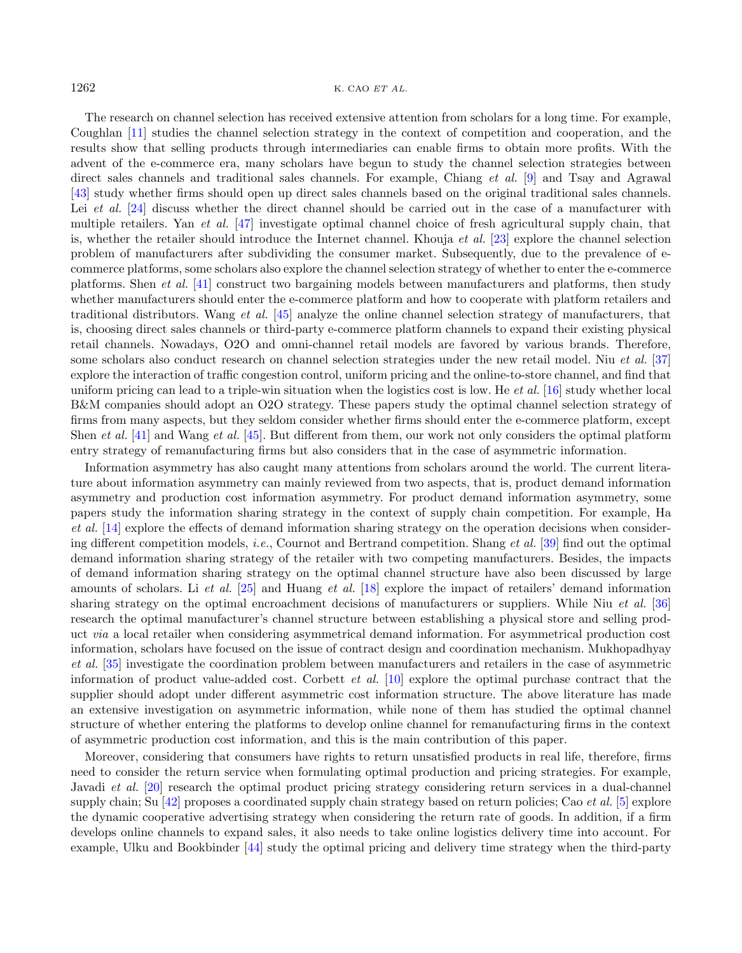The research on channel selection has received extensive attention from scholars for a long time. For example, Coughlan [\[11\]](#page-21-10) studies the channel selection strategy in the context of competition and cooperation, and the results show that selling products through intermediaries can enable firms to obtain more profits. With the advent of the e-commerce era, many scholars have begun to study the channel selection strategies between direct sales channels and traditional sales channels. For example, Chiang *et al.* [\[9\]](#page-21-11) and Tsay and Agrawal [\[43\]](#page-22-2) study whether firms should open up direct sales channels based on the original traditional sales channels. Lei et al. [\[24\]](#page-21-12) discuss whether the direct channel should be carried out in the case of a manufacturer with multiple retailers. Yan et al. [\[47\]](#page-22-3) investigate optimal channel choice of fresh agricultural supply chain, that is, whether the retailer should introduce the Internet channel. Khouja *et al.* [\[23\]](#page-21-13) explore the channel selection problem of manufacturers after subdividing the consumer market. Subsequently, due to the prevalence of ecommerce platforms, some scholars also explore the channel selection strategy of whether to enter the e-commerce platforms. Shen et al. [\[41\]](#page-22-4) construct two bargaining models between manufacturers and platforms, then study whether manufacturers should enter the e-commerce platform and how to cooperate with platform retailers and traditional distributors. Wang et al. [\[45\]](#page-22-5) analyze the online channel selection strategy of manufacturers, that is, choosing direct sales channels or third-party e-commerce platform channels to expand their existing physical retail channels. Nowadays, O2O and omni-channel retail models are favored by various brands. Therefore, some scholars also conduct research on channel selection strategies under the new retail model. Niu et al. [\[37\]](#page-22-6) explore the interaction of traffic congestion control, uniform pricing and the online-to-store channel, and find that uniform pricing can lead to a triple-win situation when the logistics cost is low. He *et al.* [\[16\]](#page-21-14) study whether local B&M companies should adopt an O2O strategy. These papers study the optimal channel selection strategy of firms from many aspects, but they seldom consider whether firms should enter the e-commerce platform, except Shen *et al.* [\[41\]](#page-22-4) and Wang *et al.* [\[45\]](#page-22-5). But different from them, our work not only considers the optimal platform entry strategy of remanufacturing firms but also considers that in the case of asymmetric information.

Information asymmetry has also caught many attentions from scholars around the world. The current literature about information asymmetry can mainly reviewed from two aspects, that is, product demand information asymmetry and production cost information asymmetry. For product demand information asymmetry, some papers study the information sharing strategy in the context of supply chain competition. For example, Ha et al. [\[14\]](#page-21-15) explore the effects of demand information sharing strategy on the operation decisions when considering different competition models, *i.e.*, Cournot and Bertrand competition. Shang *et al.* [\[39\]](#page-22-7) find out the optimal demand information sharing strategy of the retailer with two competing manufacturers. Besides, the impacts of demand information sharing strategy on the optimal channel structure have also been discussed by large amounts of scholars. Li et al. [\[25\]](#page-21-16) and Huang et al. [\[18\]](#page-21-17) explore the impact of retailers' demand information sharing strategy on the optimal encroachment decisions of manufacturers or suppliers. While Niu et al. [\[36\]](#page-22-8) research the optimal manufacturer's channel structure between establishing a physical store and selling product via a local retailer when considering asymmetrical demand information. For asymmetrical production cost information, scholars have focused on the issue of contract design and coordination mechanism. Mukhopadhyay et al. [\[35\]](#page-22-9) investigate the coordination problem between manufacturers and retailers in the case of asymmetric information of product value-added cost. Corbett *et al.* [\[10\]](#page-21-18) explore the optimal purchase contract that the supplier should adopt under different asymmetric cost information structure. The above literature has made an extensive investigation on asymmetric information, while none of them has studied the optimal channel structure of whether entering the platforms to develop online channel for remanufacturing firms in the context of asymmetric production cost information, and this is the main contribution of this paper.

Moreover, considering that consumers have rights to return unsatisfied products in real life, therefore, firms need to consider the return service when formulating optimal production and pricing strategies. For example, Javadi et al. [\[20\]](#page-21-19) research the optimal product pricing strategy considering return services in a dual-channel supply chain; Su [\[42\]](#page-22-10) proposes a coordinated supply chain strategy based on return policies; Cao *et al.* [\[5\]](#page-21-20) explore the dynamic cooperative advertising strategy when considering the return rate of goods. In addition, if a firm develops online channels to expand sales, it also needs to take online logistics delivery time into account. For example, Ulku and Bookbinder [\[44\]](#page-22-11) study the optimal pricing and delivery time strategy when the third-party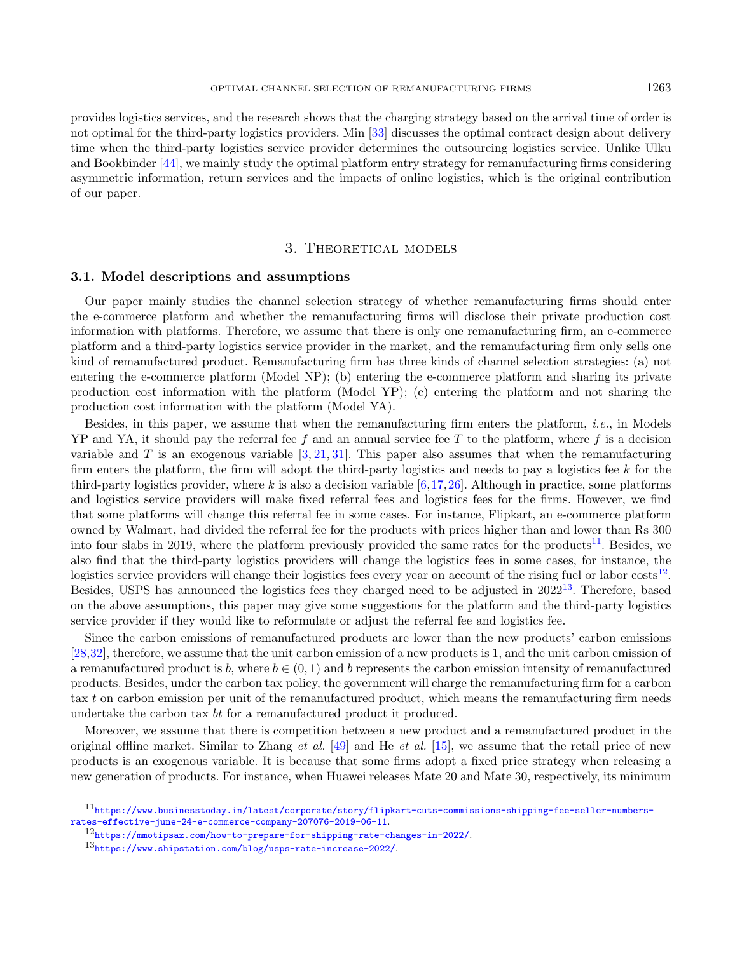provides logistics services, and the research shows that the charging strategy based on the arrival time of order is not optimal for the third-party logistics providers. Min [\[33\]](#page-21-21) discusses the optimal contract design about delivery time when the third-party logistics service provider determines the outsourcing logistics service. Unlike Ulku and Bookbinder [\[44\]](#page-22-11), we mainly study the optimal platform entry strategy for remanufacturing firms considering asymmetric information, return services and the impacts of online logistics, which is the original contribution of our paper.

# 3. Theoretical models

#### <span id="page-4-0"></span>3.1. Model descriptions and assumptions

Our paper mainly studies the channel selection strategy of whether remanufacturing firms should enter the e-commerce platform and whether the remanufacturing firms will disclose their private production cost information with platforms. Therefore, we assume that there is only one remanufacturing firm, an e-commerce platform and a third-party logistics service provider in the market, and the remanufacturing firm only sells one kind of remanufactured product. Remanufacturing firm has three kinds of channel selection strategies: (a) not entering the e-commerce platform (Model NP); (b) entering the e-commerce platform and sharing its private production cost information with the platform (Model YP); (c) entering the platform and not sharing the production cost information with the platform (Model YA).

Besides, in this paper, we assume that when the remanufacturing firm enters the platform, i.e., in Models  $YP$  and YA, it should pay the referral fee f and an annual service fee T to the platform, where f is a decision variable and T is an exogenous variable  $[3, 21, 31]$  $[3, 21, 31]$  $[3, 21, 31]$  $[3, 21, 31]$  $[3, 21, 31]$ . This paper also assumes that when the remanufacturing firm enters the platform, the firm will adopt the third-party logistics and needs to pay a logistics fee  $k$  for the third-party logistics provider, where k is also a decision variable  $[6,17,26]$  $[6,17,26]$  $[6,17,26]$ . Although in practice, some platforms and logistics service providers will make fixed referral fees and logistics fees for the firms. However, we find that some platforms will change this referral fee in some cases. For instance, Flipkart, an e-commerce platform owned by Walmart, had divided the referral fee for the products with prices higher than and lower than Rs 300 into four slabs in 2019, where the platform previously provided the same rates for the products<sup>[11](#page-4-1)</sup>. Besides, we also find that the third-party logistics providers will change the logistics fees in some cases, for instance, the logistics service providers will change their logistics fees every year on account of the rising fuel or labor costs<sup>[12](#page-4-2)</sup>. Besides, USPS has announced the logistics fees they charged need to be adjusted in  $2022^{13}$  $2022^{13}$  $2022^{13}$ . Therefore, based on the above assumptions, this paper may give some suggestions for the platform and the third-party logistics service provider if they would like to reformulate or adjust the referral fee and logistics fee.

<span id="page-4-3"></span><span id="page-4-2"></span><span id="page-4-1"></span>Since the carbon emissions of remanufactured products are lower than the new products' carbon emissions [\[28,](#page-21-8)[32\]](#page-21-9), therefore, we assume that the unit carbon emission of a new products is 1, and the unit carbon emission of a remanufactured product is b, where  $b \in (0, 1)$  and b represents the carbon emission intensity of remanufactured products. Besides, under the carbon tax policy, the government will charge the remanufacturing firm for a carbon tax t on carbon emission per unit of the remanufactured product, which means the remanufacturing firm needs undertake the carbon tax  $bt$  for a remanufactured product it produced.

Moreover, we assume that there is competition between a new product and a remanufactured product in the original offline market. Similar to Zhang *et al.* [\[49\]](#page-22-12) and He *et al.* [\[15\]](#page-21-27), we assume that the retail price of new products is an exogenous variable. It is because that some firms adopt a fixed price strategy when releasing a new generation of products. For instance, when Huawei releases Mate 20 and Mate 30, respectively, its minimum

<sup>11</sup>[https://www.businesstoday.in/latest/corporate/story/flipkart-cuts-commissions-shipping-fee-seller-numbers](https://www.businesstoday.in/latest/corporate/story/flipkart-cuts-commissions-shipping-fee-seller-numbers-rates-effective-june-24-e-commerce-company-207076-2019-06-11)[rates-effective-june-24-e-commerce-company-207076-2019-06-11](https://www.businesstoday.in/latest/corporate/story/flipkart-cuts-commissions-shipping-fee-seller-numbers-rates-effective-june-24-e-commerce-company-207076-2019-06-11).

<sup>12</sup><https://mmotipsaz.com/how-to-prepare-for-shipping-rate-changes-in-2022/>.

<sup>13</sup><https://www.shipstation.com/blog/usps-rate-increase-2022/>.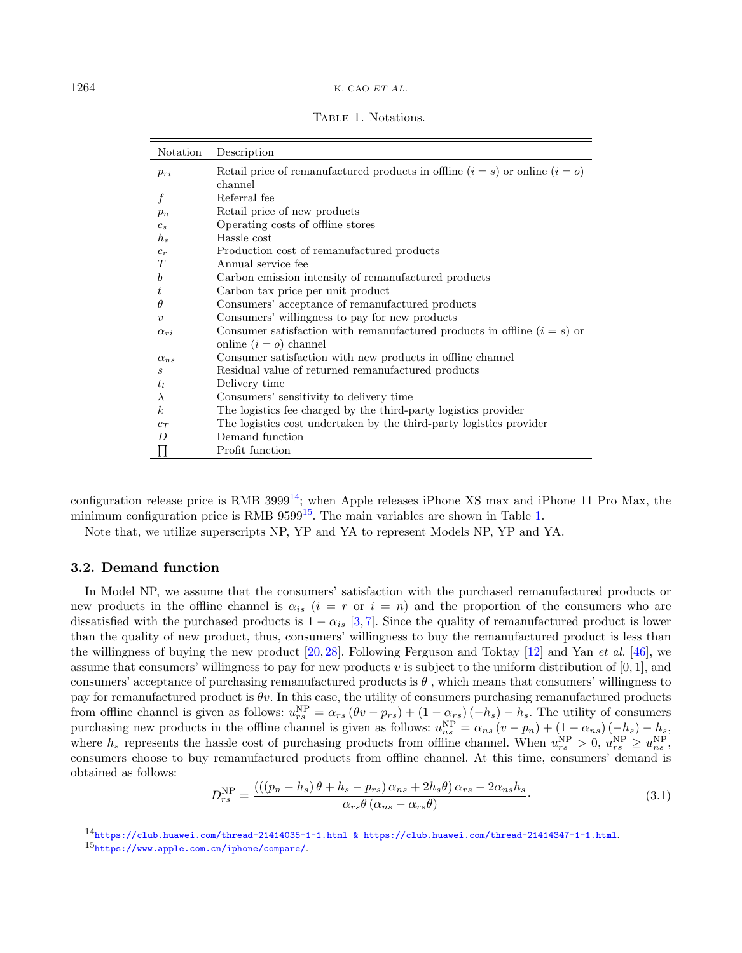<span id="page-5-2"></span>TABLE 1. Notations.

| Notation          | Description                                                                      |
|-------------------|----------------------------------------------------------------------------------|
| $p_{ri}$          | Retail price of remanufactured products in offline $(i = s)$ or online $(i = o)$ |
|                   | channel                                                                          |
|                   | Referral fee                                                                     |
| $p_n$             | Retail price of new products                                                     |
| $c_s$             | Operating costs of offline stores                                                |
| $h_{s}$           | Hassle cost                                                                      |
| $c_r$             | Production cost of remanufactured products                                       |
| T                 | Annual service fee                                                               |
| b                 | Carbon emission intensity of remanufactured products                             |
| t                 | Carbon tax price per unit product                                                |
| θ                 | Consumers' acceptance of remanufactured products                                 |
| $\boldsymbol{v}$  | Consumers' willingness to pay for new products                                   |
| $\alpha_{ri}$     | Consumer satisfaction with remanufactured products in offline $(i = s)$ or       |
|                   | online $(i = o)$ channel                                                         |
| $\alpha_{ns}$     | Consumer satisfaction with new products in offline channel                       |
| $\mathcal{S}_{0}$ | Residual value of returned remanufactured products                               |
| $t_l$             | Delivery time                                                                    |
| $\lambda$         | Consumers' sensitivity to delivery time                                          |
| $\boldsymbol{k}$  | The logistics fee charged by the third-party logistics provider                  |
| $c_T$             | The logistics cost undertaken by the third-party logistics provider              |
| $\overline{D}$    | Demand function                                                                  |
|                   | Profit function                                                                  |

configuration release price is RMB  $3999^{14}$  $3999^{14}$  $3999^{14}$ ; when Apple releases iPhone XS max and iPhone 11 Pro Max, the minimum configuration price is RMB  $9599^{15}$  $9599^{15}$  $9599^{15}$ . The main variables are shown in Table [1.](#page-5-2)

Note that, we utilize superscripts NP, YP and YA to represent Models NP, YP and YA.

### 3.2. Demand function

<span id="page-5-1"></span><span id="page-5-0"></span>In Model NP, we assume that the consumers' satisfaction with the purchased remanufactured products or new products in the offline channel is  $\alpha_{is}$  ( $i = r$  or  $i = n$ ) and the proportion of the consumers who are dissatisfied with the purchased products is  $1 - \alpha_{is}$  [\[3,](#page-21-2)[7\]](#page-21-28). Since the quality of remanufactured product is lower than the quality of new product, thus, consumers' willingness to buy the remanufactured product is less than the willingness of buying the new product [\[20,](#page-21-19) [28\]](#page-21-8). Following Ferguson and Toktay [\[12\]](#page-21-29) and Yan et al. [\[46\]](#page-22-13), we assume that consumers' willingness to pay for new products  $v$  is subject to the uniform distribution of [0, 1], and consumers' acceptance of purchasing remanufactured products is  $\theta$ , which means that consumers' willingness to pay for remanufactured product is  $\theta v$ . In this case, the utility of consumers purchasing remanufactured products from offline channel is given as follows:  $u_{rs}^{NP} = \alpha_{rs} (\theta v - p_{rs}) + (1 - \alpha_{rs}) (-h_s) - h_s$ . The utility of consumers purchasing new products in the offline channel is given as follows:  $u_{ns}^{NP} = \alpha_{ns} (v - p_n) + (1 - \alpha_{ns}) (-h_s) - h_s$ where  $h_s$  represents the hassle cost of purchasing products from offline channel. When  $u_{rs}^{\text{NP}} > 0$ ,  $u_{rs}^{\text{NP}} \ge u_{ns}^{\text{NP}}$ , consumers choose to buy remanufactured products from offline channel. At this time, consumers' demand is obtained as follows:

$$
D_{rs}^{\rm NP} = \frac{(((p_n - h_s)\theta + h_s - p_{rs})\alpha_{ns} + 2h_s\theta)\alpha_{rs} - 2\alpha_{ns}h_s}{\alpha_{rs}\theta(\alpha_{ns} - \alpha_{rs}\theta)}.
$$
\n(3.1)

<sup>14</sup>[https://club.huawei.com/thread-21414035-1-1.html & https://club.huawei.com/thread-21414347-1-1.html](https://club.huawei.com/thread-21414035-1-1.html &).

<sup>15</sup><https://www.apple.com.cn/iphone/compare/>.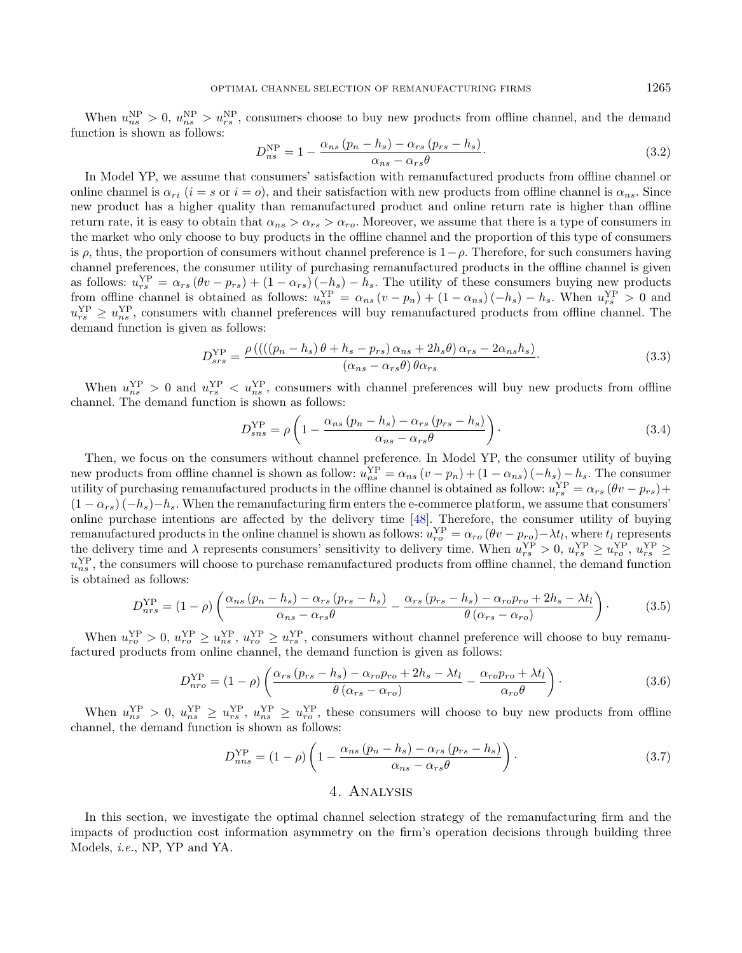When  $u_{ns}^{NP} > 0$ ,  $u_{ns}^{NP} > u_{rs}^{NP}$ , consumers choose to buy new products from offline channel, and the demand function is shown as follows:

$$
D_{ns}^{\rm NP} = 1 - \frac{\alpha_{ns} \left( p_n - h_s \right) - \alpha_{rs} \left( p_{rs} - h_s \right)}{\alpha_{ns} - \alpha_{rs} \theta}.
$$
\n(3.2)

In Model YP, we assume that consumers' satisfaction with remanufactured products from offline channel or online channel is  $\alpha_{ri}$  ( $i = s$  or  $i = o$ ), and their satisfaction with new products from offline channel is  $\alpha_{ns}$ . Since new product has a higher quality than remanufactured product and online return rate is higher than offline return rate, it is easy to obtain that  $\alpha_{ns} > \alpha_{rs} > \alpha_{ro}$ . Moreover, we assume that there is a type of consumers in the market who only choose to buy products in the offline channel and the proportion of this type of consumers is  $\rho$ , thus, the proportion of consumers without channel preference is  $1-\rho$ . Therefore, for such consumers having channel preferences, the consumer utility of purchasing remanufactured products in the offline channel is given as follows:  $u_{rs}^{YP} = \alpha_{rs} (\theta v - p_{rs}) + (1 - \alpha_{rs}) (-h_s) - h_s$ . The utility of these consumers buying new products from offline channel is obtained as follows:  $u_{ns}^{YP} = \alpha_{ns}(v - p_n) + (1 - \alpha_{ns})(-h_s) - h_s$ . When  $u_{rs}^{YP} > 0$  and  $u_{rs}^{\text{YP}} \geq u_{ns}^{\text{YP}}$ , consumers with channel preferences will buy remanufactured products from offline channel. The demand function is given as follows:

$$
D_{srs}^{\text{YP}} = \frac{\rho\left(((\left(p_n - h_s\right)\theta + h_s - p_{rs})\,\alpha_{ns} + 2h_s\theta)\,\alpha_{rs} - 2\alpha_{ns}h_s\right)}{\left(\alpha_{ns} - \alpha_{rs}\theta\right)\theta\alpha_{rs}}.\tag{3.3}
$$

When  $u_{ns}^{YP} > 0$  and  $u_{rs}^{YP} < u_{ns}^{YP}$ , consumers with channel preferences will buy new products from offline channel. The demand function is shown as follows:

$$
D_{sns}^{\rm YP} = \rho \left( 1 - \frac{\alpha_{ns} \left( p_n - h_s \right) - \alpha_{rs} \left( p_{rs} - h_s \right)}{\alpha_{ns} - \alpha_{rs} \theta} \right). \tag{3.4}
$$

Then, we focus on the consumers without channel preference. In Model YP, the consumer utility of buying new products from offline channel is shown as follow:  $u_{ns}^{YP} = \alpha_{ns}(v - p_n) + (1 - \alpha_{ns})(-h_s) - h_s$ . The consumer utility of purchasing remanufactured products in the offline channel is obtained as follow:  $u_{rs}^{YP} = \alpha_{rs} (\theta v - p_{rs}) +$  $(1 - \alpha_{rs}) (-h_s) - h_s$ . When the remanufacturing firm enters the e-commerce platform, we assume that consumers' online purchase intentions are affected by the delivery time [\[48\]](#page-22-14). Therefore, the consumer utility of buying remanufactured products in the online channel is shown as follows:  $u_{ro}^{YP} = \alpha_{ro} (\theta v - p_{ro}) - \lambda t_l$ , where  $t_l$  represents the delivery time and  $\lambda$  represents consumers' sensitivity to delivery time. When  $u_{rs}^{\text{YP}} > 0$ ,  $u_{rs}^{\text{YP}} \ge u_{ro}^{\text{YP}}$ ,  $u_{rs}^{\text{YP}} \ge u_{ro}^{\text{YP}}$  $u_{ns}^{\text{YP}}$ , the consumers will choose to purchase remanufactured products from offline channel, the demand function is obtained as follows:

$$
D_{nrs}^{\rm VP} = (1 - \rho) \left( \frac{\alpha_{ns} \left( p_n - h_s \right) - \alpha_{rs} \left( p_{rs} - h_s \right)}{\alpha_{ns} - \alpha_{rs} \theta} - \frac{\alpha_{rs} \left( p_{rs} - h_s \right) - \alpha_{ro} p_{ro} + 2h_s - \lambda t_l}{\theta \left( \alpha_{rs} - \alpha_{ro} \right)} \right). \tag{3.5}
$$

When  $u_{ro}^{\text{YP}} > 0$ ,  $u_{ro}^{\text{YP}} \ge u_{ns}^{\text{YP}}$ ,  $u_{ro}^{\text{YP}} \ge u_{rs}^{\text{YP}}$ , consumers without channel preference will choose to buy remanufactured products from online channel, the demand function is given as follows:

$$
D_{nro}^{\rm YP} = (1 - \rho) \left( \frac{\alpha_{rs} \left( p_{rs} - h_s \right) - \alpha_{ro} p_{ro} + 2h_s - \lambda t_l}{\theta \left( \alpha_{rs} - \alpha_{ro} \right)} - \frac{\alpha_{ro} p_{ro} + \lambda t_l}{\alpha_{ro} \theta} \right). \tag{3.6}
$$

When  $u_{ns}^{YP} > 0$ ,  $u_{ns}^{YP} \ge u_{rs}^{YP}$ ,  $u_{ns}^{YP} \ge u_{ro}^{YP}$ , these consumers will choose to buy new products from offline channel, the demand function is shown as follows:

$$
D_{nns}^{\text{YP}} = (1 - \rho) \left( 1 - \frac{\alpha_{ns} \left( p_n - h_s \right) - \alpha_{rs} \left( p_{rs} - h_s \right)}{\alpha_{ns} - \alpha_{rs} \theta} \right). \tag{3.7}
$$

# 4. Analysis

<span id="page-6-0"></span>In this section, we investigate the optimal channel selection strategy of the remanufacturing firm and the impacts of production cost information asymmetry on the firm's operation decisions through building three Models, i.e., NP, YP and YA.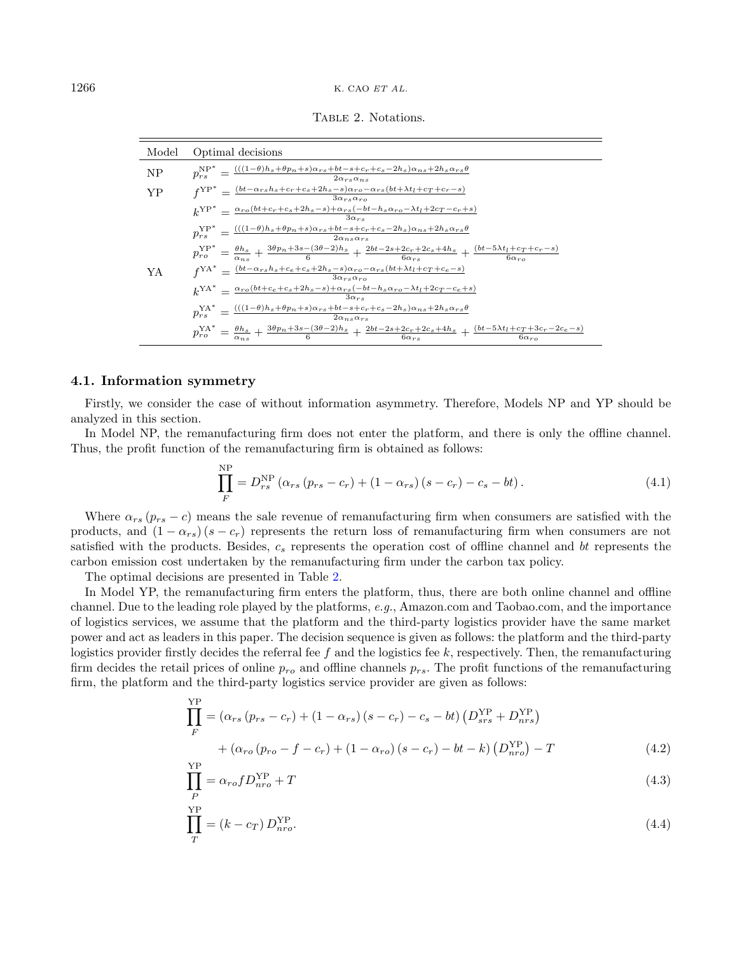<span id="page-7-0"></span>TABLE 2. Notations.

| Model | Optimal decisions                                                                                                                                                                                                             |
|-------|-------------------------------------------------------------------------------------------------------------------------------------------------------------------------------------------------------------------------------|
| NP    | $p_{rs}^{\text{NP*}} = \frac{(((1-\theta)h_s + \theta p_n + s)\alpha_{rs} + bt - s + c_r + c_s - 2h_s)\alpha_{ns} + 2h_s\alpha_{rs}\theta}{2\alpha_{rs}\alpha_{ns}}$                                                          |
| YP    | $f^{YP^*} = \frac{(bt - \alpha_{rs}h_s + c_r + c_s + 2h_s - s)\alpha_{ro} - \alpha_{rs}(bt + \lambda t_l + c_T + c_r - s)}{3\alpha_{rs}\alpha_{ro}}$                                                                          |
|       | $k^{\text{YP*}} = \frac{\alpha_{ro}(bt+c_r+c_s+2h_s-s)+\alpha_{rs}(-bt-h_s\alpha_{ro}-\lambda t_l+2c_T-c_r+s)}{h_s^{\text{TP*}}}$                                                                                             |
|       | $p_{rs}^{\text{YP*}} = \frac{(((1-\theta)h_s + \theta p_n + s)\alpha_{rs} + bt - s + c_r + c_s - 2h_s)\alpha_{ns} + 2h_s\alpha_{rs}\theta}{2\alpha_{ns}\alpha_{rs}}$                                                          |
|       | $p_{ro}^{\text{YP*}} = \frac{\theta h_s}{\alpha} + \frac{3\theta p_n + 3s - (3\theta - 2)h_s}{6} + \frac{2bt - 2s + 2c_r + 2c_s + 4h_s}{6\alpha} + \frac{(bt - 5\lambda t_l + c_r + c_r - s)}{6\alpha}$                       |
| YA    | $f^{\text{YA}*} = \frac{(bt - \alpha_{rs}h_s + c_e + c_s + 2h_s - s)\alpha_{ro} - \alpha_{rs}(bt + \lambda t_l + c_T + c_e - s)}{3\alpha_{rs}\alpha_{ro}}$                                                                    |
|       | $k^{\text{YA}^*} = \frac{\alpha_{ro}(bt + c_e + c_s + 2h_s - s) + \alpha_{rs}(-bt - h_s\alpha_{ro} - \lambda t_l + 2c_T - c_e + s)}{h_s^{\text{WA}^*}}$<br>$3\alpha_{rs}$                                                     |
|       | $p_{rs}^{\text{YA}*} = \frac{(((1-\theta)h_s + \theta p_n + s)\alpha_{rs} + bt - s + c_r + c_s - 2h_s)\alpha_{ns} + 2h_s\alpha_{rs}\theta}{2\alpha_{ns}\alpha_{rs}}$                                                          |
|       | $p_{ro}^{\text{YA}} = \frac{\theta h_s}{\alpha_{ns}} + \frac{3\theta p_n + 3s - (3\theta - 2)h_s}{6} + \frac{2bt - 2s + 2c_r + 2c_s + 4h_s}{6\alpha_{rs}} + \frac{(bt - 5\lambda t_l + c_T + 3c_r - 2c_e - s)}{6\alpha_{ro}}$ |

#### 4.1. Information symmetry

Firstly, we consider the case of without information asymmetry. Therefore, Models NP and YP should be analyzed in this section.

In Model NP, the remanufacturing firm does not enter the platform, and there is only the offline channel. Thus, the profit function of the remanufacturing firm is obtained as follows:

$$
\prod_{F}^{\rm NP} = D_{rs}^{\rm NP} \left( \alpha_{rs} \left( p_{rs} - c_r \right) + (1 - \alpha_{rs}) \left( s - c_r \right) - c_s - bt \right). \tag{4.1}
$$

Where  $\alpha_{rs}$  ( $p_{rs} - c$ ) means the sale revenue of remanufacturing firm when consumers are satisfied with the products, and  $(1 - \alpha_{rs})(s - c_r)$  represents the return loss of remanufacturing firm when consumers are not satisfied with the products. Besides,  $c_s$  represents the operation cost of offline channel and  $bt$  represents the carbon emission cost undertaken by the remanufacturing firm under the carbon tax policy.

The optimal decisions are presented in Table [2.](#page-7-0)

In Model YP, the remanufacturing firm enters the platform, thus, there are both online channel and offline channel. Due to the leading role played by the platforms, e.g., Amazon.com and Taobao.com, and the importance of logistics services, we assume that the platform and the third-party logistics provider have the same market power and act as leaders in this paper. The decision sequence is given as follows: the platform and the third-party logistics provider firstly decides the referral fee  $f$  and the logistics fee  $k$ , respectively. Then, the remanufacturing firm decides the retail prices of online  $p_{ro}$  and offline channels  $p_{rs}$ . The profit functions of the remanufacturing firm, the platform and the third-party logistics service provider are given as follows:

$$
\prod_{F}^{YP} = (\alpha_{rs} (p_{rs} - c_r) + (1 - \alpha_{rs}) (s - c_r) - c_s - bt) (D_{srs}^{YP} + D_{nrs}^{YP})
$$
  
+  $(\alpha_{ro} (p_{ro} - f - c_r) + (1 - \alpha_{ro}) (s - c_r) - bt - k) (D_{nro}^{YP}) - T$  (4.2)

$$
\prod_{P}^{YP} = \alpha_{ro} f D_{nro}^{YP} + T \tag{4.3}
$$

$$
\prod_{T}^{\text{YP}} = (k - c_T) D_{nro}^{\text{YP}}.
$$
\n(4.4)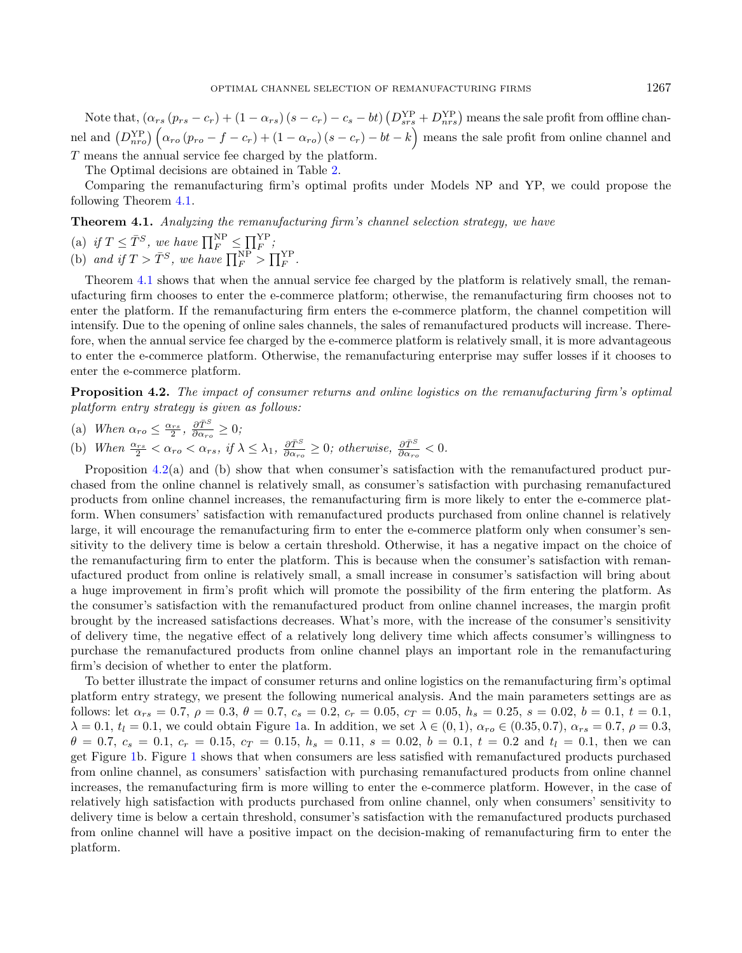<span id="page-8-0"></span>Note that,  $(\alpha_{rs} (p_{rs} - c_r) + (1 - \alpha_{rs}) (s - c_r) - c_s - bt) (D_{srs}^{YP} + D_{nrs}^{YP})$  means the sale profit from offline channel and  $(D_{nro}^{YP}) \left( \alpha_{ro} (p_{ro} - f - c_r) + (1 - \alpha_{ro}) (s - c_r) - bt - k \right)$  means the sale profit from online channel and  $T$  means the annual service fee charged by the platform.

<span id="page-8-1"></span>The Optimal decisions are obtained in Table [2.](#page-7-0)

Comparing the remanufacturing firm's optimal profits under Models NP and YP, we could propose the following Theorem [4.1.](#page-8-0)

Theorem 4.1. Analyzing the remanufacturing firm's channel selection strategy, we have

(a) if 
$$
T \leq \overline{T}^S
$$
, we have  $\prod_F^{\text{NP}} \leq \prod_F^{\text{YP}};$ 

(b) and if  $T > \overline{T}^S$ , we have  $\prod_F^{\text{NP}} > \prod_F^{\text{YP}}$ .

Theorem [4.1](#page-8-0) shows that when the annual service fee charged by the platform is relatively small, the remanufacturing firm chooses to enter the e-commerce platform; otherwise, the remanufacturing firm chooses not to enter the platform. If the remanufacturing firm enters the e-commerce platform, the channel competition will intensify. Due to the opening of online sales channels, the sales of remanufactured products will increase. Therefore, when the annual service fee charged by the e-commerce platform is relatively small, it is more advantageous to enter the e-commerce platform. Otherwise, the remanufacturing enterprise may suffer losses if it chooses to enter the e-commerce platform.

Proposition 4.2. The impact of consumer returns and online logistics on the remanufacturing firm's optimal platform entry strategy is given as follows:

(a) When  $\alpha_{ro} \leq \frac{\alpha_{rs}}{2}, \frac{\partial \bar{T}^S}{\partial \alpha_{rs}} \geq 0;$ 2,  $\partial \alpha_{ro}$ 

(b) When  $\frac{\alpha_{rs}}{2} < \alpha_{ro} < \alpha_{rs}$ , if  $\lambda \leq \lambda_1$ ,  $\frac{\partial \bar{T}^S}{\partial \alpha_{ro}} \geq 0$ ; otherwise,  $\frac{\partial \bar{T}^S}{\partial \alpha_{ro}} < 0$ .

Proposition [4.2\(](#page-8-1)a) and (b) show that when consumer's satisfaction with the remanufactured product purchased from the online channel is relatively small, as consumer's satisfaction with purchasing remanufactured products from online channel increases, the remanufacturing firm is more likely to enter the e-commerce platform. When consumers' satisfaction with remanufactured products purchased from online channel is relatively large, it will encourage the remanufacturing firm to enter the e-commerce platform only when consumer's sensitivity to the delivery time is below a certain threshold. Otherwise, it has a negative impact on the choice of the remanufacturing firm to enter the platform. This is because when the consumer's satisfaction with remanufactured product from online is relatively small, a small increase in consumer's satisfaction will bring about a huge improvement in firm's profit which will promote the possibility of the firm entering the platform. As the consumer's satisfaction with the remanufactured product from online channel increases, the margin profit brought by the increased satisfactions decreases. What's more, with the increase of the consumer's sensitivity of delivery time, the negative effect of a relatively long delivery time which affects consumer's willingness to purchase the remanufactured products from online channel plays an important role in the remanufacturing firm's decision of whether to enter the platform.

<span id="page-8-2"></span>To better illustrate the impact of consumer returns and online logistics on the remanufacturing firm's optimal platform entry strategy, we present the following numerical analysis. And the main parameters settings are as follows: let  $\alpha_{rs} = 0.7$ ,  $\rho = 0.3$ ,  $\theta = 0.7$ ,  $c_s = 0.2$ ,  $c_r = 0.05$ ,  $c_t = 0.05$ ,  $h_s = 0.25$ ,  $s = 0.02$ ,  $b = 0.1$ ,  $t = 0.1$ ,  $\lambda = 0.1, t_l = 0.1$ , we could obtain Figure [1a](#page-9-0). In addition, we set  $\lambda \in (0, 1)$ ,  $\alpha_{ro} \in (0.35, 0.7)$ ,  $\alpha_{rs} = 0.7$ ,  $\rho = 0.3$ ,  $\theta = 0.7$ ,  $c_s = 0.1$ ,  $c_r = 0.15$ ,  $c_t = 0.15$ ,  $h_s = 0.11$ ,  $s = 0.02$ ,  $b = 0.1$ ,  $t = 0.2$  and  $t_l = 0.1$ , then we can get Figure [1b](#page-9-0). Figure [1](#page-9-0) shows that when consumers are less satisfied with remanufactured products purchased from online channel, as consumers' satisfaction with purchasing remanufactured products from online channel increases, the remanufacturing firm is more willing to enter the e-commerce platform. However, in the case of relatively high satisfaction with products purchased from online channel, only when consumers' sensitivity to delivery time is below a certain threshold, consumer's satisfaction with the remanufactured products purchased from online channel will have a positive impact on the decision-making of remanufacturing firm to enter the platform.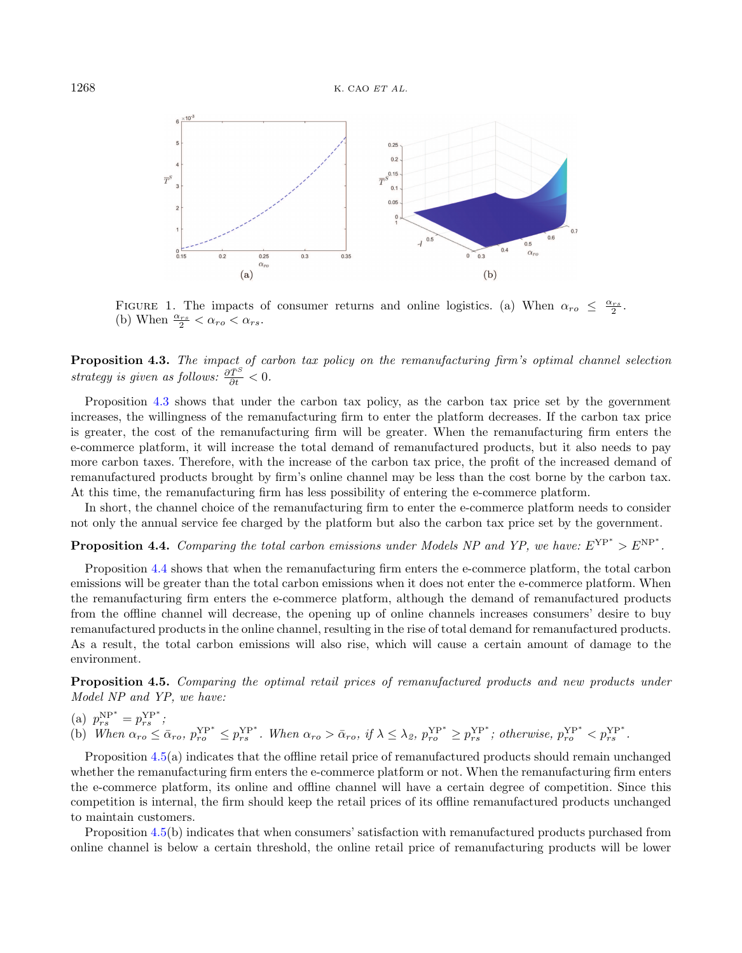<span id="page-9-0"></span>

<span id="page-9-1"></span>FIGURE 1. The impacts of consumer returns and online logistics. (a) When  $\alpha_{ro} \leq \frac{\alpha_{rs}}{2}$ . (b) When  $\frac{\alpha_{rs}}{2} < \alpha_{ro} < \alpha_{rs}$ .

Proposition 4.3. The impact of carbon tax policy on the remanufacturing firm's optimal channel selection strategy is given as follows:  $\frac{\partial \bar{T}^S}{\partial t} < 0$ .

Proposition [4.3](#page-8-2) shows that under the carbon tax policy, as the carbon tax price set by the government increases, the willingness of the remanufacturing firm to enter the platform decreases. If the carbon tax price is greater, the cost of the remanufacturing firm will be greater. When the remanufacturing firm enters the e-commerce platform, it will increase the total demand of remanufactured products, but it also needs to pay more carbon taxes. Therefore, with the increase of the carbon tax price, the profit of the increased demand of remanufactured products brought by firm's online channel may be less than the cost borne by the carbon tax. At this time, the remanufacturing firm has less possibility of entering the e-commerce platform.

<span id="page-9-2"></span>In short, the channel choice of the remanufacturing firm to enter the e-commerce platform needs to consider not only the annual service fee charged by the platform but also the carbon tax price set by the government.

**Proposition 4.4.** Comparing the total carbon emissions under Models NP and YP, we have:  $E^{YP^*} > E^{NP^*}$ .

Proposition [4.4](#page-9-1) shows that when the remanufacturing firm enters the e-commerce platform, the total carbon emissions will be greater than the total carbon emissions when it does not enter the e-commerce platform. When the remanufacturing firm enters the e-commerce platform, although the demand of remanufactured products from the offline channel will decrease, the opening up of online channels increases consumers' desire to buy remanufactured products in the online channel, resulting in the rise of total demand for remanufactured products. As a result, the total carbon emissions will also rise, which will cause a certain amount of damage to the environment.

Proposition 4.5. Comparing the optimal retail prices of remanufactured products and new products under Model NP and YP, we have:

(a)  $p_{rs}^{\text{NP}*} = p_{rs}^{\text{YP}*}$ ;

(b) When  $\alpha_{ro} \leq \bar{\alpha}_{ro}$ ,  $p_{ro}^{YP^*} \leq p_{rs}^{YP^*}$ . When  $\alpha_{ro} > \bar{\alpha}_{ro}$ , if  $\lambda \leq \lambda_{\beta}$ ,  $p_{ro}^{YP^*} \geq p_{rs}^{YP^*}$ ; otherwise,  $p_{ro}^{YP^*} < p_{rs}^{YP^*}$ .

Proposition [4.5\(](#page-9-2)a) indicates that the offline retail price of remanufactured products should remain unchanged whether the remanufacturing firm enters the e-commerce platform or not. When the remanufacturing firm enters the e-commerce platform, its online and offline channel will have a certain degree of competition. Since this competition is internal, the firm should keep the retail prices of its offline remanufactured products unchanged to maintain customers.

Proposition [4.5\(](#page-9-2)b) indicates that when consumers' satisfaction with remanufactured products purchased from online channel is below a certain threshold, the online retail price of remanufacturing products will be lower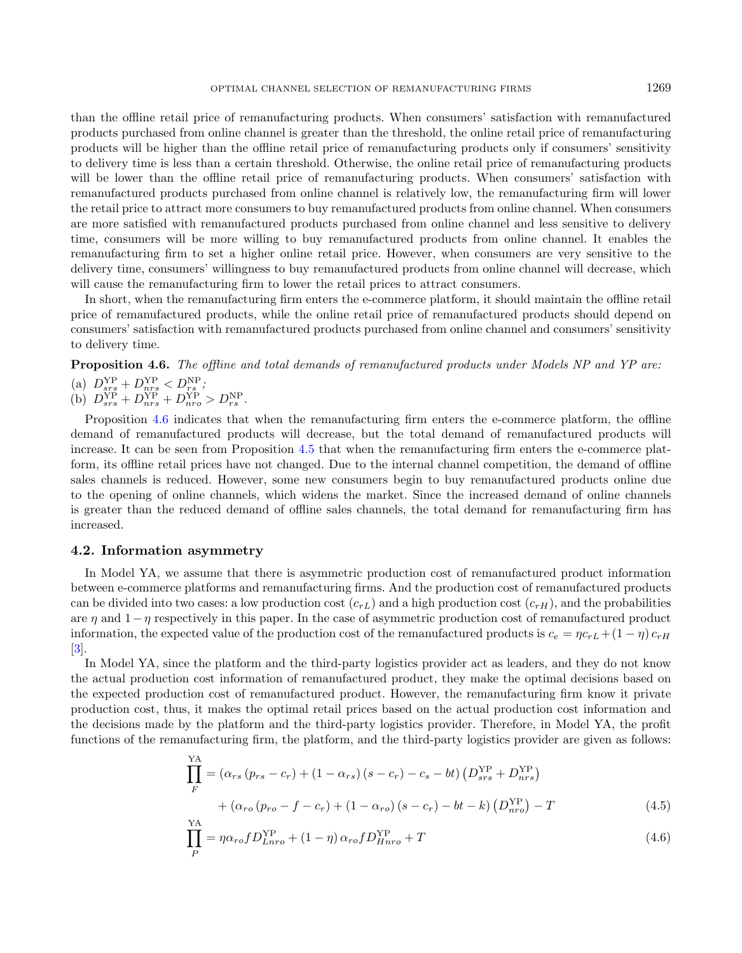<span id="page-10-0"></span>than the offline retail price of remanufacturing products. When consumers' satisfaction with remanufactured products purchased from online channel is greater than the threshold, the online retail price of remanufacturing products will be higher than the offline retail price of remanufacturing products only if consumers' sensitivity to delivery time is less than a certain threshold. Otherwise, the online retail price of remanufacturing products will be lower than the offline retail price of remanufacturing products. When consumers' satisfaction with remanufactured products purchased from online channel is relatively low, the remanufacturing firm will lower the retail price to attract more consumers to buy remanufactured products from online channel. When consumers are more satisfied with remanufactured products purchased from online channel and less sensitive to delivery time, consumers will be more willing to buy remanufactured products from online channel. It enables the remanufacturing firm to set a higher online retail price. However, when consumers are very sensitive to the delivery time, consumers' willingness to buy remanufactured products from online channel will decrease, which will cause the remanufacturing firm to lower the retail prices to attract consumers.

In short, when the remanufacturing firm enters the e-commerce platform, it should maintain the offline retail price of remanufactured products, while the online retail price of remanufactured products should depend on consumers' satisfaction with remanufactured products purchased from online channel and consumers' sensitivity to delivery time.

Proposition 4.6. The offline and total demands of remanufactured products under Models NP and YP are:

(a)  $D_{srs}^{YP} + D_{nrs}^{YP} < D_{rs}^{NP}$ ; (b)  $D_{srs}^{YP} + D_{nrs}^{YP} + D_{nro}^{YP} > D_{rs}^{NP}$ .

Proposition [4.6](#page-10-0) indicates that when the remanufacturing firm enters the e-commerce platform, the offline demand of remanufactured products will decrease, but the total demand of remanufactured products will increase. It can be seen from Proposition [4.5](#page-9-2) that when the remanufacturing firm enters the e-commerce platform, its offline retail prices have not changed. Due to the internal channel competition, the demand of offline sales channels is reduced. However, some new consumers begin to buy remanufactured products online due to the opening of online channels, which widens the market. Since the increased demand of online channels is greater than the reduced demand of offline sales channels, the total demand for remanufacturing firm has increased.

# 4.2. Information asymmetry

In Model YA, we assume that there is asymmetric production cost of remanufactured product information between e-commerce platforms and remanufacturing firms. And the production cost of remanufactured products can be divided into two cases: a low production cost  $(c_{rL})$  and a high production cost  $(c_{rH})$ , and the probabilities are  $\eta$  and  $1-\eta$  respectively in this paper. In the case of asymmetric production cost of remanufactured product information, the expected value of the production cost of the remanufactured products is  $c_e = \eta c_{rL} + (1 - \eta) c_{rH}$ [\[3\]](#page-21-2).

In Model YA, since the platform and the third-party logistics provider act as leaders, and they do not know the actual production cost information of remanufactured product, they make the optimal decisions based on the expected production cost of remanufactured product. However, the remanufacturing firm know it private production cost, thus, it makes the optimal retail prices based on the actual production cost information and the decisions made by the platform and the third-party logistics provider. Therefore, in Model YA, the profit functions of the remanufacturing firm, the platform, and the third-party logistics provider are given as follows:

$$
\prod_{F}^{YA} = (\alpha_{rs} (p_{rs} - c_r) + (1 - \alpha_{rs}) (s - c_r) - c_s - bt) (D_{srs}^{YP} + D_{nrs}^{YP})
$$
  
+ 
$$
(\alpha_{ro} (p_{ro} - f - c_r) + (1 - \alpha_{ro}) (s - c_r) - bt - k) (D_{nro}^{YP}) - T
$$
(4.5)

$$
\prod_{P}^{YA} = \eta \alpha_{ro} f D_{Lnro}^{YP} + (1 - \eta) \alpha_{ro} f D_{Hnro}^{YP} + T \tag{4.6}
$$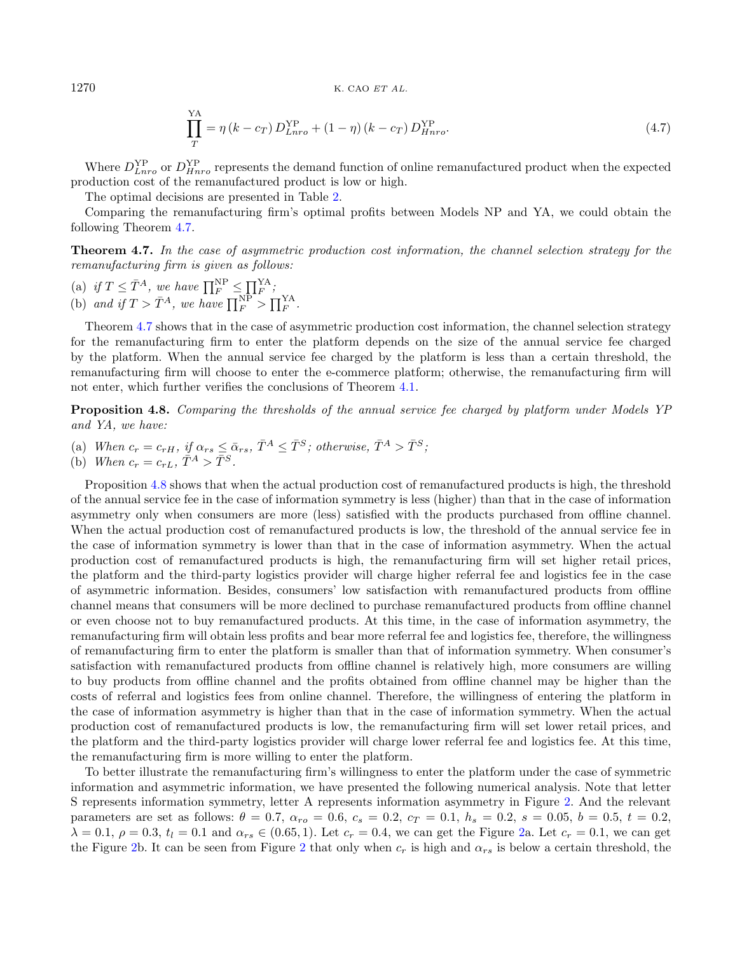<span id="page-11-1"></span>
$$
\prod_{T}^{YA} = \eta (k - c_T) D_{Lnro}^{YP} + (1 - \eta) (k - c_T) D_{Hnro}^{YP}.
$$
\n(4.7)

Where  $D_{Lnro}^{VP}$  or  $D_{Hnro}^{VP}$  represents the demand function of online remanufactured product when the expected production cost of the remanufactured product is low or high.

The optimal decisions are presented in Table [2.](#page-7-0)

<span id="page-11-0"></span> $\ddotsc$ 

Comparing the remanufacturing firm's optimal profits between Models NP and YA, we could obtain the following Theorem [4.7.](#page-11-0)

Theorem 4.7. In the case of asymmetric production cost information, the channel selection strategy for the remanufacturing firm is given as follows:

- (a) if  $T \leq \bar{T}^A$ , we have  $\prod_F^{\text{NP}} \leq \prod_F^{\text{YA}}$ ;
- (b) and if  $T > \overline{T}^A$ , we have  $\prod_F^{\text{NP}} > \prod_F^{\text{YA}}$ .

Theorem [4.7](#page-11-0) shows that in the case of asymmetric production cost information, the channel selection strategy for the remanufacturing firm to enter the platform depends on the size of the annual service fee charged by the platform. When the annual service fee charged by the platform is less than a certain threshold, the remanufacturing firm will choose to enter the e-commerce platform; otherwise, the remanufacturing firm will not enter, which further verifies the conclusions of Theorem [4.1.](#page-8-0)

Proposition 4.8. Comparing the thresholds of the annual service fee charged by platform under Models YP and YA, we have:

- (a) When  $c_r = c_{rH}$ , if  $\alpha_{rs} \leq \bar{\alpha}_{rs}$ ,  $\bar{T}^A \leq \bar{T}^S$ ; otherwise,  $\bar{T}^A > \bar{T}^S$ ;
- (b) When  $c_r = c_{rL}, \bar{T}^A > \bar{T}^S$ .

Proposition [4.8](#page-11-1) shows that when the actual production cost of remanufactured products is high, the threshold of the annual service fee in the case of information symmetry is less (higher) than that in the case of information asymmetry only when consumers are more (less) satisfied with the products purchased from offline channel. When the actual production cost of remanufactured products is low, the threshold of the annual service fee in the case of information symmetry is lower than that in the case of information asymmetry. When the actual production cost of remanufactured products is high, the remanufacturing firm will set higher retail prices, the platform and the third-party logistics provider will charge higher referral fee and logistics fee in the case of asymmetric information. Besides, consumers' low satisfaction with remanufactured products from offline channel means that consumers will be more declined to purchase remanufactured products from offline channel or even choose not to buy remanufactured products. At this time, in the case of information asymmetry, the remanufacturing firm will obtain less profits and bear more referral fee and logistics fee, therefore, the willingness of remanufacturing firm to enter the platform is smaller than that of information symmetry. When consumer's satisfaction with remanufactured products from offline channel is relatively high, more consumers are willing to buy products from offline channel and the profits obtained from offline channel may be higher than the costs of referral and logistics fees from online channel. Therefore, the willingness of entering the platform in the case of information asymmetry is higher than that in the case of information symmetry. When the actual production cost of remanufactured products is low, the remanufacturing firm will set lower retail prices, and the platform and the third-party logistics provider will charge lower referral fee and logistics fee. At this time, the remanufacturing firm is more willing to enter the platform.

To better illustrate the remanufacturing firm's willingness to enter the platform under the case of symmetric information and asymmetric information, we have presented the following numerical analysis. Note that letter S represents information symmetry, letter A represents information asymmetry in Figure [2.](#page-12-0) And the relevant parameters are set as follows:  $\theta = 0.7$ ,  $\alpha_{ro} = 0.6$ ,  $c_s = 0.2$ ,  $c_T = 0.1$ ,  $h_s = 0.2$ ,  $s = 0.05$ ,  $b = 0.5$ ,  $t = 0.2$ ,  $\lambda = 0.1, \ \rho = 0.3, \ t_l = 0.1$  and  $\alpha_{rs} \in (0.65, 1)$ . Let  $c_r = 0.4$ , we can get the Figure [2a](#page-12-0). Let  $c_r = 0.1$ , we can get the Figure [2b](#page-12-0). It can be seen from Figure [2](#page-12-0) that only when  $c_r$  is high and  $\alpha_{rs}$  is below a certain threshold, the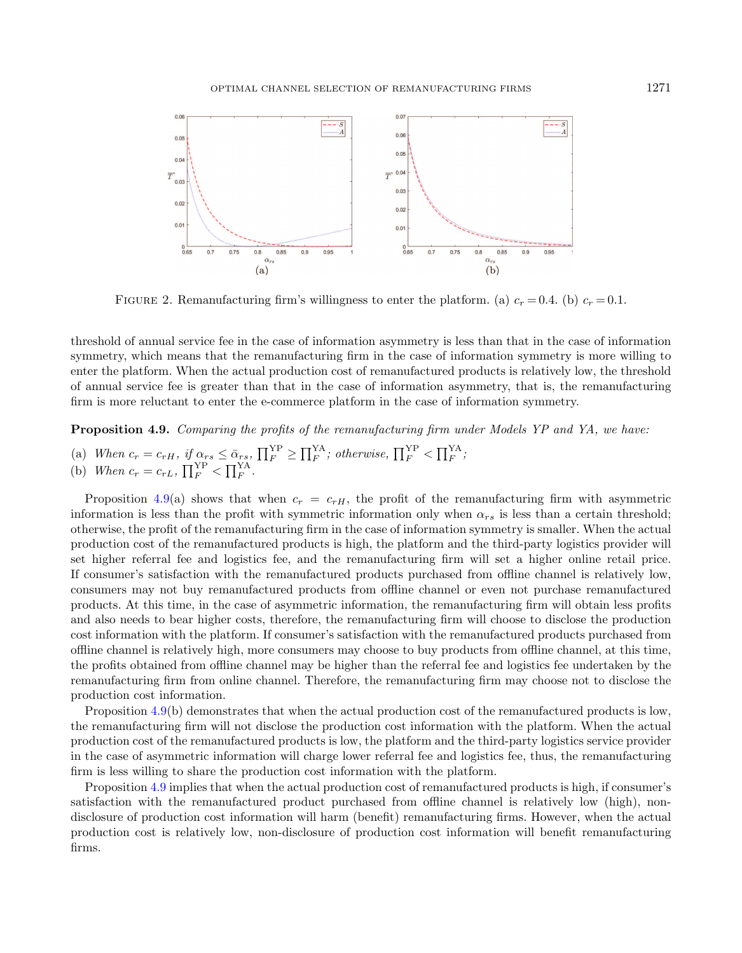<span id="page-12-0"></span>

FIGURE 2. Remanufacturing firm's willingness to enter the platform. (a)  $c_r = 0.4$ . (b)  $c_r = 0.1$ .

threshold of annual service fee in the case of information asymmetry is less than that in the case of information symmetry, which means that the remanufacturing firm in the case of information symmetry is more willing to enter the platform. When the actual production cost of remanufactured products is relatively low, the threshold of annual service fee is greater than that in the case of information asymmetry, that is, the remanufacturing firm is more reluctant to enter the e-commerce platform in the case of information symmetry.

<span id="page-12-1"></span>Proposition 4.9. Comparing the profits of the remanufacturing firm under Models YP and YA, we have:

- (a) When  $c_r = c_{rH}$ , if  $\alpha_{rs} \le \bar{\alpha}_{rs}$ ,  $\prod_{F}^{YP} \ge \prod_{F}^{YA}$ ; otherwise,  $\prod_{F}^{YP} < \prod_{F}^{YA}$ ;
- (b) When  $c_r = c_{rL}$ ,  $\prod_F^{YP} < \prod_F^{YA}$ .

Proposition [4.9\(](#page-12-1)a) shows that when  $c_r = c_{rH}$ , the profit of the remanufacturing firm with asymmetric information is less than the profit with symmetric information only when  $\alpha_{rs}$  is less than a certain threshold; otherwise, the profit of the remanufacturing firm in the case of information symmetry is smaller. When the actual production cost of the remanufactured products is high, the platform and the third-party logistics provider will set higher referral fee and logistics fee, and the remanufacturing firm will set a higher online retail price. If consumer's satisfaction with the remanufactured products purchased from offline channel is relatively low, consumers may not buy remanufactured products from offline channel or even not purchase remanufactured products. At this time, in the case of asymmetric information, the remanufacturing firm will obtain less profits and also needs to bear higher costs, therefore, the remanufacturing firm will choose to disclose the production cost information with the platform. If consumer's satisfaction with the remanufactured products purchased from offline channel is relatively high, more consumers may choose to buy products from offline channel, at this time, the profits obtained from offline channel may be higher than the referral fee and logistics fee undertaken by the remanufacturing firm from online channel. Therefore, the remanufacturing firm may choose not to disclose the production cost information.

<span id="page-12-2"></span>Proposition [4.9\(](#page-12-1)b) demonstrates that when the actual production cost of the remanufactured products is low, the remanufacturing firm will not disclose the production cost information with the platform. When the actual production cost of the remanufactured products is low, the platform and the third-party logistics service provider in the case of asymmetric information will charge lower referral fee and logistics fee, thus, the remanufacturing firm is less willing to share the production cost information with the platform.

Proposition [4.9](#page-12-1) implies that when the actual production cost of remanufactured products is high, if consumer's satisfaction with the remanufactured product purchased from offline channel is relatively low (high), nondisclosure of production cost information will harm (benefit) remanufacturing firms. However, when the actual production cost is relatively low, non-disclosure of production cost information will benefit remanufacturing firms.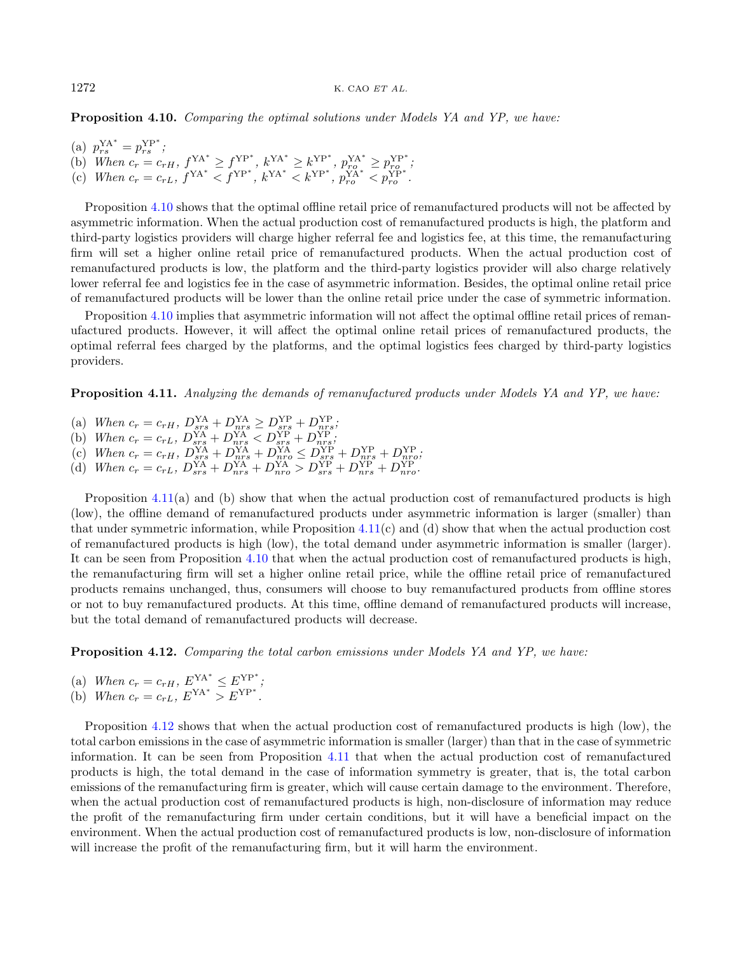Proposition 4.10. Comparing the optimal solutions under Models YA and YP, we have:

(a)  $p_{rs}^{\text{YA}*} = p_{rs}^{\text{YP}*}$ ; (b) When  $c_r = c_{rH}$ ,  $f_{\text{max}}^{YA^*} \ge f_{\text{max}}^{YP^*}$ ,  $k_{\text{max}}^{YA^*} \ge k_{\text{max}}^{YP^*}$ ,  $p_{rQ}^{YA^*} \ge p_{rQ}^{YP^*}$ ; (c) When  $c_r = c_{rL}$ ,  $f^{YA^*} < f^{YP^*}$ ,  $k^{YA^*} < k^{YP^*}$ ,  $p_{ro}^{YA^*} < p_{ro}^{YP^*}$ .

<span id="page-13-0"></span>Proposition [4.10](#page-12-2) shows that the optimal offline retail price of remanufactured products will not be affected by asymmetric information. When the actual production cost of remanufactured products is high, the platform and third-party logistics providers will charge higher referral fee and logistics fee, at this time, the remanufacturing firm will set a higher online retail price of remanufactured products. When the actual production cost of remanufactured products is low, the platform and the third-party logistics provider will also charge relatively lower referral fee and logistics fee in the case of asymmetric information. Besides, the optimal online retail price of remanufactured products will be lower than the online retail price under the case of symmetric information.

Proposition [4.10](#page-12-2) implies that asymmetric information will not affect the optimal offline retail prices of remanufactured products. However, it will affect the optimal online retail prices of remanufactured products, the optimal referral fees charged by the platforms, and the optimal logistics fees charged by third-party logistics providers.

Proposition 4.11. Analyzing the demands of remanufactured products under Models YA and YP, we have:

- (a) When  $c_r = c_{rH}$ ,  $D_{srs}^{YA} + D_{nrs}^{YA} \ge D_{srs}^{YP} + D_{nrs}^{YP}$ ;
- <span id="page-13-1"></span>(b) When  $c_r = c_{rL}$ ,  $D_{srs}^{YA} + D_{nrs}^{YA} < D_{srs}^{YP} + D_{nrs}^{YP}$ ;
- (c) When  $c_r = c_{rH}$ ,  $D_{srs}^{YA} + D_{nrs}^{YA} + D_{nrs}^{YA} \leq D_{srs}^{YP} + D_{nrs}^{YP} + D_{nrs}^{YP}$ ,
- (d) When  $c_r = c_{rL}$ ,  $D_{srs}^{YA} + D_{nrs}^{YA} + D_{nro}^{YA} > D_{srs}^{YP} + D_{nrs}^{YP} + D_{nro}^{YP}$ .

Proposition  $4.11(a)$  $4.11(a)$  and (b) show that when the actual production cost of remanufactured products is high (low), the offline demand of remanufactured products under asymmetric information is larger (smaller) than that under symmetric information, while Proposition  $4.11(c)$  $4.11(c)$  and (d) show that when the actual production cost of remanufactured products is high (low), the total demand under asymmetric information is smaller (larger). It can be seen from Proposition [4.10](#page-12-2) that when the actual production cost of remanufactured products is high, the remanufacturing firm will set a higher online retail price, while the offline retail price of remanufactured products remains unchanged, thus, consumers will choose to buy remanufactured products from offline stores or not to buy remanufactured products. At this time, offline demand of remanufactured products will increase, but the total demand of remanufactured products will decrease.

Proposition 4.12. Comparing the total carbon emissions under Models YA and YP, we have:

- (a) When  $c_r = c_{rH}$ ,  $E^{YA^*} \leq E^{YP^*}$ ;
- (b) When  $c_r = c_{rL}$ ,  $E^{YA^*} > E^{YP^*}$ .

Proposition [4.12](#page-13-1) shows that when the actual production cost of remanufactured products is high (low), the total carbon emissions in the case of asymmetric information is smaller (larger) than that in the case of symmetric information. It can be seen from Proposition [4.11](#page-13-0) that when the actual production cost of remanufactured products is high, the total demand in the case of information symmetry is greater, that is, the total carbon emissions of the remanufacturing firm is greater, which will cause certain damage to the environment. Therefore, when the actual production cost of remanufactured products is high, non-disclosure of information may reduce the profit of the remanufacturing firm under certain conditions, but it will have a beneficial impact on the environment. When the actual production cost of remanufactured products is low, non-disclosure of information will increase the profit of the remanufacturing firm, but it will harm the environment.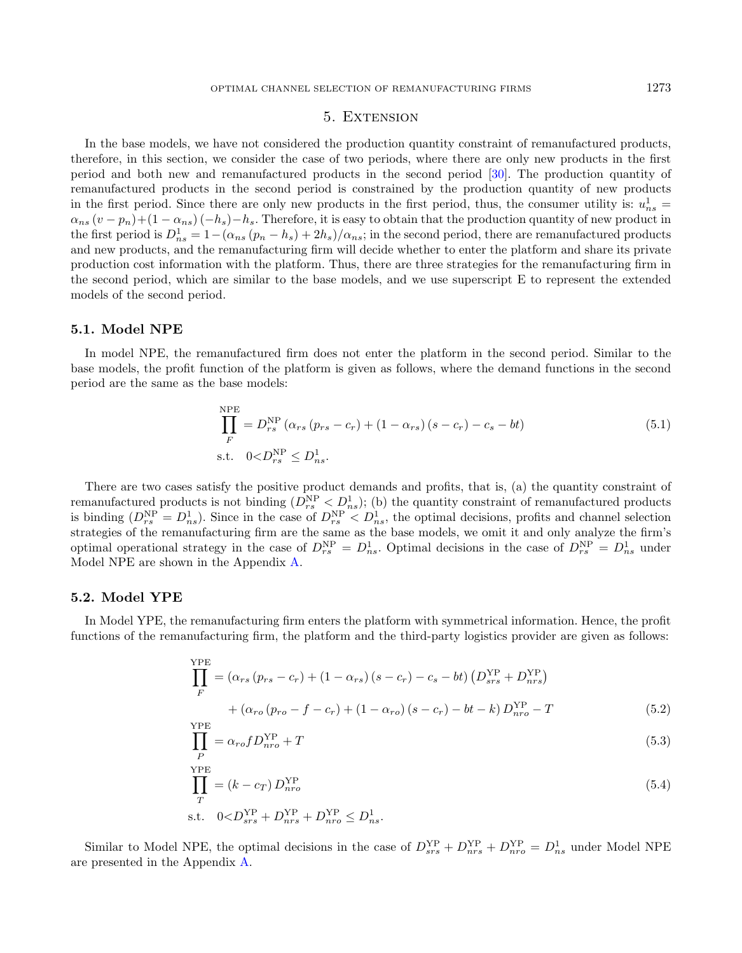# 5. Extension

<span id="page-14-0"></span>In the base models, we have not considered the production quantity constraint of remanufactured products, therefore, in this section, we consider the case of two periods, where there are only new products in the first period and both new and remanufactured products in the second period [\[30\]](#page-21-30). The production quantity of remanufactured products in the second period is constrained by the production quantity of new products in the first period. Since there are only new products in the first period, thus, the consumer utility is:  $u_{ns}^1$  =  $\alpha_{ns}(v-p_n)+(1-\alpha_{ns})(-h_s)-h_s$ . Therefore, it is easy to obtain that the production quantity of new product in the first period is  $D_{ns}^1 = 1 - (\alpha_{ns} (p_n - h_s) + 2h_s)/\alpha_{ns}$ ; in the second period, there are remanufactured products and new products, and the remanufacturing firm will decide whether to enter the platform and share its private production cost information with the platform. Thus, there are three strategies for the remanufacturing firm in the second period, which are similar to the base models, and we use superscript E to represent the extended models of the second period.

# 5.1. Model NPE

In model NPE, the remanufactured firm does not enter the platform in the second period. Similar to the base models, the profit function of the platform is given as follows, where the demand functions in the second period are the same as the base models:

$$
\prod_{F}^{NPE} = D_{rs}^{NP} (\alpha_{rs} (p_{rs} - c_r) + (1 - \alpha_{rs}) (s - c_r) - c_s - bt)
$$
\n  
\ns.t.  $0 < D_{rs}^{NP} \le D_{ns}^1$ . (5.1)

There are two cases satisfy the positive product demands and profits, that is, (a) the quantity constraint of remanufactured products is not binding  $(D_{rs}^{NP} < D_{ns}^{1})$ ; (b) the quantity constraint of remanufactured products is binding  $(D_{rs}^{\rm NP} = D_{ns}^1)$ . Since in the case of  $D_{rs}^{\rm NP} < D_{ns}^1$ , the optimal decisions, profits and channel selection strategies of the remanufacturing firm are the same as the base models, we omit it and only analyze the firm's optimal operational strategy in the case of  $D_{rs}^{\text{NP}} = D_{ns}^1$ . Optimal decisions in the case of  $D_{rs}^{\text{NP}} = D_{ns}^1$  under Model NPE are shown in the Appendix [A.](#page-16-1)

# 5.2. Model YPE

In Model YPE, the remanufacturing firm enters the platform with symmetrical information. Hence, the profit functions of the remanufacturing firm, the platform and the third-party logistics provider are given as follows:

$$
\prod_{F}^{YPE} = (\alpha_{rs} (p_{rs} - c_r) + (1 - \alpha_{rs}) (s - c_r) - c_s - bt) (D_{srs}^{YP} + D_{nrs}^{YP}) \n+ (\alpha_{ro} (p_{ro} - f - c_r) + (1 - \alpha_{ro}) (s - c_r) - bt - k) D_{nro}^{YP} - T
$$
\n(5.2)

$$
\prod_{P}^{\text{YPE}} = \alpha_{ro} f D_{nro}^{\text{YP}} + T \tag{5.3}
$$

$$
\prod_{T}^{\text{YPE}} = (k - c_T) D_{nro}^{\text{YP}} \tag{5.4}
$$
\n
$$
\text{s.t.} \quad 0 < D_{srs}^{\text{YP}} + D_{nrs}^{\text{YP}} + D_{nro}^{\text{YP}} \le D_{ns}^1.
$$

Similar to Model NPE, the optimal decisions in the case of  $D_{srs}^{YP} + D_{nrs}^{YP} + D_{nro}^{YP} = D_{ns}^1$  under Model NPE are presented in the Appendix [A.](#page-16-1)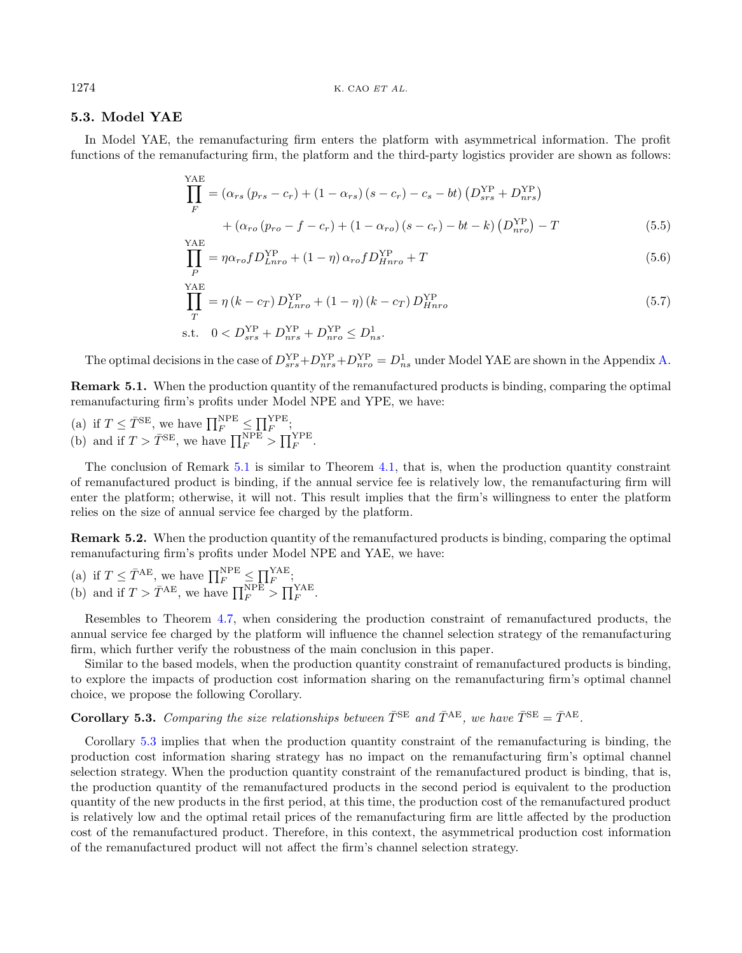# 5.3. Model YAE

In Model YAE, the remanufacturing firm enters the platform with asymmetrical information. The profit functions of the remanufacturing firm, the platform and the third-party logistics provider are shown as follows:

$$
\prod_{F}^{YAE} = (\alpha_{rs} (p_{rs} - c_r) + (1 - \alpha_{rs}) (s - c_r) - c_s - bt) (D_{srs}^{YP} + D_{nrs}^{YP}) \n+ (\alpha_{ro} (p_{ro} - f - c_r) + (1 - \alpha_{ro}) (s - c_r) - bt - k) (D_{nro}^{YP}) - T
$$
\n(5.5)

$$
\prod_{P}^{\text{ATE}} = \eta \alpha_{ro} f D_{Lnro}^{\text{YP}} + (1 - \eta) \alpha_{ro} f D_{Hnro}^{\text{YP}} + T \tag{5.6}
$$

$$
\prod_{T}^{YAE} = \eta (k - c_T) D_{Lnro}^{YP} + (1 - \eta) (k - c_T) D_{Hnro}^{YP}
$$
\n
$$
\text{s.t.} \quad 0 < D_{srs}^{YP} + D_{nrs}^{YP} + D_{nro}^{YP} \leq D_{ns}^1. \tag{5.7}
$$

The optimal decisions in the case of  $D_{srs}^{YP}+D_{nrs}^{YP}+D_{nro}^{YP}=D_{ns}^1$  under Model YAE are shown in the Appendix [A.](#page-16-1)

<span id="page-15-0"></span>Remark 5.1. When the production quantity of the remanufactured products is binding, comparing the optimal remanufacturing firm's profits under Model NPE and YPE, we have:

(a) if  $T \leq \overline{T}^{\text{SE}}$ , we have  $\prod_{F}^{\text{NPE}} \leq \prod_{F}^{\text{YPE}}$ ; (b) and if  $T > \overline{T}^{\text{SE}}$ , we have  $\prod_{F}^{\text{NPE}} > \prod_{F}^{\text{YPE}}$ .

The conclusion of Remark [5.1](#page-15-0) is similar to Theorem [4.1,](#page-8-0) that is, when the production quantity constraint of remanufactured product is binding, if the annual service fee is relatively low, the remanufacturing firm will enter the platform; otherwise, it will not. This result implies that the firm's willingness to enter the platform relies on the size of annual service fee charged by the platform.

<span id="page-15-2"></span><span id="page-15-1"></span>Remark 5.2. When the production quantity of the remanufactured products is binding, comparing the optimal remanufacturing firm's profits under Model NPE and YAE, we have:

(a) if 
$$
T \leq \overline{T}^{AE}
$$
, we have  $\prod_F^{NPE} \leq \prod_F^{YAE}$ ;  
(b) and if  $T > \overline{T}^{AE}$ , we have  $\prod_F^{NPE} > \prod_F^{YAE}$ .

Resembles to Theorem [4.7,](#page-11-0) when considering the production constraint of remanufactured products, the annual service fee charged by the platform will influence the channel selection strategy of the remanufacturing firm, which further verify the robustness of the main conclusion in this paper.

Similar to the based models, when the production quantity constraint of remanufactured products is binding, to explore the impacts of production cost information sharing on the remanufacturing firm's optimal channel choice, we propose the following Corollary.

# **Corollary 5.3.** Comparing the size relationships between  $\bar{T}^{\text{SE}}$  and  $\bar{T}^{\text{AE}}$ , we have  $\bar{T}^{\text{SE}} = \bar{T}^{\text{AE}}$ .

Corollary [5.3](#page-15-1) implies that when the production quantity constraint of the remanufacturing is binding, the production cost information sharing strategy has no impact on the remanufacturing firm's optimal channel selection strategy. When the production quantity constraint of the remanufactured product is binding, that is, the production quantity of the remanufactured products in the second period is equivalent to the production quantity of the new products in the first period, at this time, the production cost of the remanufactured product is relatively low and the optimal retail prices of the remanufacturing firm are little affected by the production cost of the remanufactured product. Therefore, in this context, the asymmetrical production cost information of the remanufactured product will not affect the firm's channel selection strategy.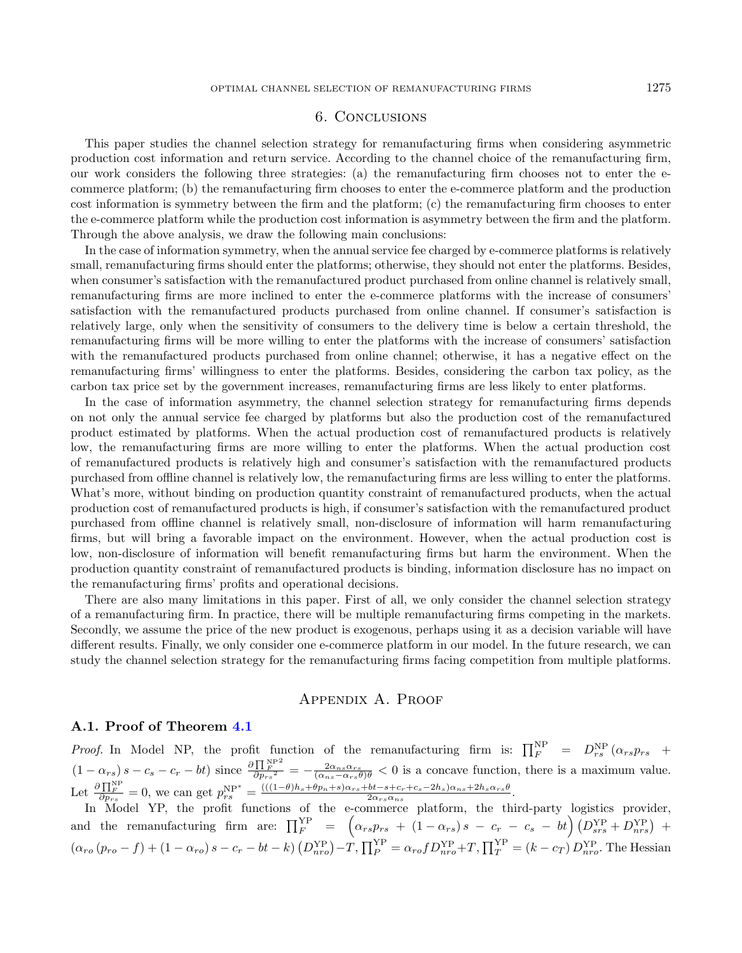# 6. Conclusions

<span id="page-16-0"></span>This paper studies the channel selection strategy for remanufacturing firms when considering asymmetric production cost information and return service. According to the channel choice of the remanufacturing firm, our work considers the following three strategies: (a) the remanufacturing firm chooses not to enter the ecommerce platform; (b) the remanufacturing firm chooses to enter the e-commerce platform and the production cost information is symmetry between the firm and the platform; (c) the remanufacturing firm chooses to enter the e-commerce platform while the production cost information is asymmetry between the firm and the platform. Through the above analysis, we draw the following main conclusions:

In the case of information symmetry, when the annual service fee charged by e-commerce platforms is relatively small, remanufacturing firms should enter the platforms; otherwise, they should not enter the platforms. Besides, when consumer's satisfaction with the remanufactured product purchased from online channel is relatively small, remanufacturing firms are more inclined to enter the e-commerce platforms with the increase of consumers' satisfaction with the remanufactured products purchased from online channel. If consumer's satisfaction is relatively large, only when the sensitivity of consumers to the delivery time is below a certain threshold, the remanufacturing firms will be more willing to enter the platforms with the increase of consumers' satisfaction with the remanufactured products purchased from online channel; otherwise, it has a negative effect on the remanufacturing firms' willingness to enter the platforms. Besides, considering the carbon tax policy, as the carbon tax price set by the government increases, remanufacturing firms are less likely to enter platforms.

In the case of information asymmetry, the channel selection strategy for remanufacturing firms depends on not only the annual service fee charged by platforms but also the production cost of the remanufactured product estimated by platforms. When the actual production cost of remanufactured products is relatively low, the remanufacturing firms are more willing to enter the platforms. When the actual production cost of remanufactured products is relatively high and consumer's satisfaction with the remanufactured products purchased from offline channel is relatively low, the remanufacturing firms are less willing to enter the platforms. What's more, without binding on production quantity constraint of remanufactured products, when the actual production cost of remanufactured products is high, if consumer's satisfaction with the remanufactured product purchased from offline channel is relatively small, non-disclosure of information will harm remanufacturing firms, but will bring a favorable impact on the environment. However, when the actual production cost is low, non-disclosure of information will benefit remanufacturing firms but harm the environment. When the production quantity constraint of remanufactured products is binding, information disclosure has no impact on the remanufacturing firms' profits and operational decisions.

There are also many limitations in this paper. First of all, we only consider the channel selection strategy of a remanufacturing firm. In practice, there will be multiple remanufacturing firms competing in the markets. Secondly, we assume the price of the new product is exogenous, perhaps using it as a decision variable will have different results. Finally, we only consider one e-commerce platform in our model. In the future research, we can study the channel selection strategy for the remanufacturing firms facing competition from multiple platforms.

# Appendix A. Proof

# <span id="page-16-1"></span>A.1. Proof of Theorem [4.1](#page-8-0)

*Proof.* In Model NP, the profit function of the remanufacturing firm is:  $\prod_{F}^{NP} = D_{rs}^{NP} (\alpha_{rs} p_{rs} +$  $(1 - \alpha_{rs}) s - c_s - c_r - bt)$  since  $\frac{\partial \prod_{r=1}^{N^{PP}}}{\partial n_{rs}^2}$  $\frac{\prod_{F}^{N+1}}{\partial p_{rs}^{2}} = -\frac{2\alpha_{ns}\alpha_{rs}}{(\alpha_{ns}-\alpha_{rs}\theta)\theta} < 0$  is a concave function, there is a maximum value. Let  $\frac{\partial \prod_{F}^{NP}}{\partial p_{rs}} = 0$ , we can get  $p_{rs}^{NP^*} = \frac{(((1-\theta)h_s + \theta p_n + s)\alpha_{rs} + bt - s + c_r + c_s - 2h_s)\alpha_{ns} + 2h_s\alpha_{rs}\theta}{2\alpha_{rs}\alpha_{ns}}$  $\frac{1}{2\alpha_{rs}\alpha_{ns}}\frac{1}{\alpha_{rs}\alpha_{ns}}$ 

In Model YP, the profit functions of the e-commerce platform, the third-party logistics provider, and the remanufacturing firm are:  $\prod_F^{\text{YP}} = (\alpha_{rs} p_{rs} + (1 - \alpha_{rs}) s - c_r - c_s - bt) (D_{srs}^{\text{YP}} + D_{nrs}^{\text{YP}}) +$  $(\alpha_{ro} (p_{ro} - f) + (1 - \alpha_{ro}) s - c_r - bt - k) (D_{nro}^{YP}) - T, \prod_P^{YP} = \alpha_{ro} f D_{nro}^{YP} + T, \prod_T^{YP} = (k - c_T) D_{nro}^{YP}.$  The Hessian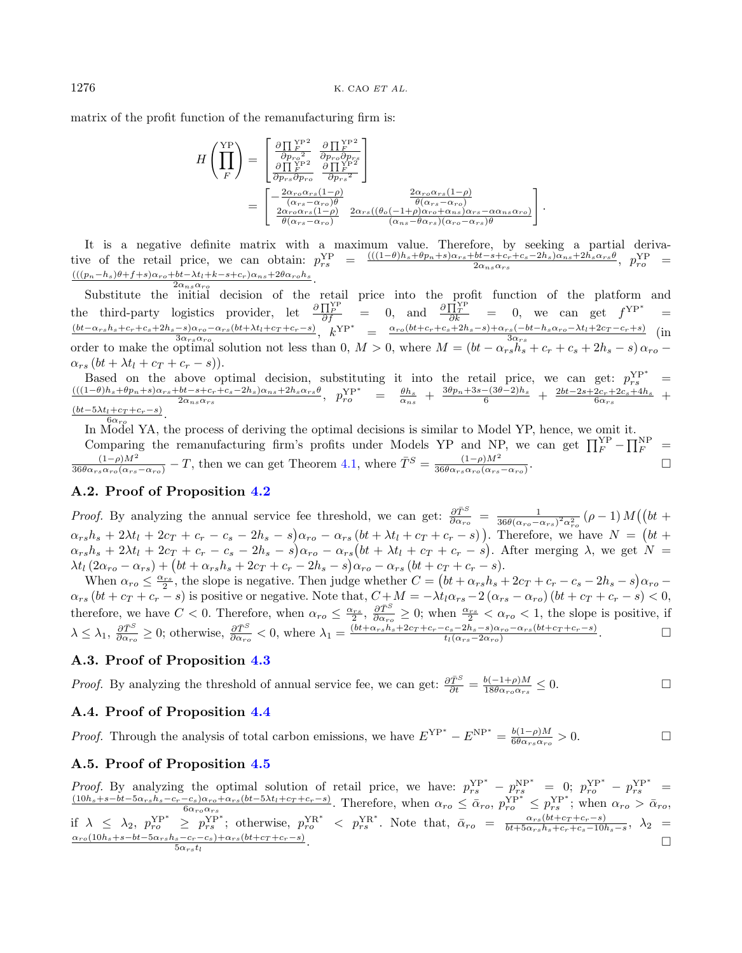matrix of the profit function of the remanufacturing firm is:

$$
H\left(\prod_{F}^{YP}\right) = \begin{bmatrix} \frac{\partial \prod_{F}^{YP^2}}{\partial p_{r o}^2} & \frac{\partial \prod_{F}^{YP^2}}{\partial p_{r o} \partial p_{r s}^2} \\ \frac{\partial \prod_{F}^{YP^2}}{\partial p_{r s} \partial p_{r o}} & \frac{\partial \prod_{F}^{YP^2}}{\partial p_{r s}^2} \end{bmatrix}
$$
  
= 
$$
\begin{bmatrix} -\frac{2\alpha_{r o} \alpha_{r s} (1-\rho)}{(\alpha_{r s} - \alpha_{r o})\theta} & \frac{2\alpha_{r o} \alpha_{r s} (1-\rho)}{\theta(\alpha_{r s} - \alpha_{r o})} \\ \frac{2\alpha_{r o} \alpha_{r s} (1-\rho)}{\theta(\alpha_{r s} - \alpha_{r o})} & \frac{2\alpha_{r s} ((\theta_{o}(-1+\rho)\alpha_{r o} + \alpha_{n s}) \alpha_{r s} - \alpha \alpha_{n s} \alpha_{r o})}{(\alpha_{n s} - \theta \alpha_{r s})(\alpha_{r o} - \alpha_{r s})\theta} \end{bmatrix}.
$$

It is a negative definite matrix with a maximum value. Therefore, by seeking a partial derivative of the retail price, we can obtain:  $p_{rs}^{YP} = \frac{(((1-\theta)h_s + \theta p_n + s)\alpha_{rs} + bt - s + c_r + c_s - 2h_s)\alpha_{ns} + 2h_s\alpha_{rs}\theta_{rs})}{2\alpha_{ns}\alpha_{rs}}$  $\frac{bt - s + c_r + c_s - 2h_s)\alpha_{ns} + 2h_s\alpha_{rs}\theta}{2\alpha_{ns}\alpha_{rs}}, \ \ p_{ro}^{\text{YP}} =$  $\frac{(((p_n-h_s)\theta+f+s)\alpha_{ro}+bt-\lambda t_l+k-s+c_r)\alpha_{ns}+2\theta\alpha_{ro}h_s}{2\alpha-\alpha}.$  $\overline{2\alpha_{ns}\alpha}$ 

Substitute the initial decision of the retail price into the profit function of the platform and the third-party logistics provider, let  $\frac{\partial \Pi_Y^{\text{NP}}}{\partial f}$  = 0, and  $\frac{\partial \Pi_Y^{\text{NP}}}{\partial k}$  = 0, we can get  $f^{YP^*}$  =  $(bt-\alpha_{rs}h_s+c_r+c_s+2h_s-s)\alpha_{ro}-\alpha_{rs}(bt+\lambda t_l+c_T+c_r-s)$  $\frac{-s\alpha_{rs}(\omega t + \lambda t_l + c_T + c_r - s)}{3\alpha_{rs}\alpha_{ro}}$ ,  $k^{\text{YP*}} = \frac{\alpha_{ro}(bt + c_r + c_s + 2h_s - s) + \alpha_{rs}(-bt - h_s\alpha_{ro} - \lambda t_l + 2c_T - c_r + s)}{3\alpha_{rs}}$  $\frac{\sin(-b\theta - h_s \alpha_{ro} - \lambda t_l + 2c_T - c_r + s)}{3\alpha_{rs}}$  (in order to make the optimal solution not less than 0,  $M > 0$ , where  $M = (bt - \alpha_{rs}h_s + c_r + c_s + 2h_s - s)\alpha_{ro}$  $\alpha_{rs}$   $(bt + \lambda t_l + c_T + c_r - s)).$ 

Based on the above optimal decision, substituting it into the retail price, we can get:  $p_{rs}^{YP^*}$  =  $((1-\theta)h_s+\theta p_n+s)\alpha_{rs}+bt-s+c_s-2h_s)\alpha_{ns}+2h_s\alpha_{rs}\theta$   $p_{r}^{NP^*}$  =  $\theta h_s + \frac{3\theta p_n+3s-(3\theta-2)h_s}{s} + \frac{2bt-2s+2c_s+4h_s}{s}$  $\frac{b t - s + c_r + c_s - 2 h_s) \alpha_{ns} + 2 h_s \alpha_{rs} \theta}{2 \alpha_{ns} \alpha_{rs}}, \quad p_{ro}^{\text{YP*}} = \frac{\theta h_s}{\alpha_{ns}} + \frac{3 \theta p_n + 3 s - (3 \theta - 2) h_s}{6} + \frac{2 b t - 2 s + 2 c_r + 2 c_s + 4 h_s}{6 \alpha_{rs}} +$  $\frac{\left(bt-5\lambda t_l+c_T+c_r-s\right)}{6\alpha}.$  $6\alpha_{\rm ro}$ 

In Model YA, the process of deriving the optimal decisions is similar to Model YP, hence, we omit it. Comparing the remanufacturing firm's profits under Models YP and NP, we can get  $\prod_{F}^{YP} - \prod_{F}^{NP} =$  $\frac{(1-\rho)M^2}{36\theta\alpha_{rs}\alpha_{ro}(\alpha_{rs}-\alpha_{ro})} - T$ , then we can get Theorem [4.1,](#page-8-0) where  $\bar{T}^S = \frac{(1-\rho)M^2}{36\theta\alpha_{rs}\alpha_{ro}(\alpha_{rs}-\alpha_{ro})}$  $36\theta\alpha_{rs}\alpha_{ro}(\alpha_{rs}-\alpha_{ro})$ .

#### A.2. Proof of Proposition [4.2](#page-8-1)

*Proof.* By analyzing the annual service fee threshold, we can get:  $\frac{\partial \tilde{T}^S}{\partial \alpha_{ro}} = \frac{1}{36\theta(\alpha_{ro} - \alpha_{rs})^2 \alpha_{ro}^2} (\rho - 1) M((bt +$  $\alpha_{rs}h_s + 2\lambda t_l + 2c_T + c_r - c_s - 2h_s - s\alpha_{ro} - \alpha_{rs}(bt + \lambda t_l + c_T + c_r - s)$ . Therefore, we have  $N = (bt + \lambda t_l + c_T + c_s)$  $\alpha_{rs}h_s + 2\lambda t_l + 2c_T + c_r - c_s - 2h_s - s\alpha_{rs} - \alpha_{rs}(bt + \lambda t_l + c_T + c_r - s)$ . After merging  $\lambda$ , we get  $N =$  $\lambda t_l \left( 2 \alpha_{ro} - \alpha_{rs} \right) + \left( bt + \alpha_{rs} h_s + 2 c_T + c_r - 2 h_s - s \right) \alpha_{ro} - \alpha_{rs} \left( bt + c_T + c_r - s \right).$ 

When  $\alpha_{ro} \leq \frac{\alpha_{rs}}{2}$ , the slope is negative. Then judge whether  $C = (bt + \alpha_{rs}h_s + 2c_T + c_r - c_s - 2h_s - s)\alpha_{ro}$ When  $\alpha_{ro} \geq 2$ , the slope is hegative. Then judge whence  $C = (\alpha + \alpha_{rs}\alpha_{rs} + 2cT + c_T - c_s - 2\alpha_{rs} - \alpha_{rs})\alpha_{ro}$ <br>  $\alpha_{rs} (bt + c_T + c_r - s)$  is positive or negative. Note that,  $C + M = -\lambda t_1 \alpha_{rs} - 2(\alpha_{rs} - \alpha_{ro})(bt + c_T + c_r - s) < 0$ , therefore, we have  $C < 0$ . Therefore, when  $\alpha_{ro} \leq \frac{\alpha_{rs}}{2}$ ,  $\frac{\partial \bar{T}^S}{\partial \alpha_{ro}} \geq 0$ ; when  $\frac{\alpha_{rs}}{2} < \alpha_{ro} < 1$ , the slope is positive, if  $\lambda \leq \lambda_1, \frac{\partial \bar{T}^S}{\partial \alpha_{ro}} \geq 0$ ; otherwise,  $\frac{\partial \bar{T}^S}{\partial \alpha_{ro}} < 0$ , where  $\lambda_1 = \frac{(bt + \alpha_{rs}h_s + 2c_T + c_r - c_s - 2h_s - s)\alpha_{ro} - \alpha_{rs}(bt + c_T + c_r - s)}{t_l(\alpha_{rs} - 2\alpha_{ro})}$  $\frac{(c_s-2h_s-s)\alpha_{ro}-\alpha_{rs}(bt+cr+c_r-s)}{t_l(\alpha_{rs}-2\alpha_{ro})}$ .

# A.3. Proof of Proposition [4.3](#page-8-2)

*Proof.* By analyzing the threshold of annual service fee, we can get:  $\frac{\partial \bar{T}^S}{\partial t} = \frac{b(-1+\rho)M}{18\theta\alpha_{ro}\alpha_{rs}}$  $\frac{b(-1+\rho)M}{18\theta\alpha_{ro}\alpha_{rs}} \leq 0.$ 

# A.4. Proof of Proposition [4.4](#page-9-1)

*Proof.* Through the analysis of total carbon emissions, we have  $E^{YP^*} - E^{NP^*} = \frac{b(1-\rho)M}{6\theta\alpha}$  $\frac{b(1-\rho)M}{6\theta\alpha_{rs}\alpha_{ro}}>0.$ 

#### A.5. Proof of Proposition [4.5](#page-9-2)

Proof. By analyzing the optimal solution of retail price, we have:  $p_{rs}^{YP^*} - p_{rs}^{NP^*} = 0$ ;  $p_{ro}^{YP^*} - p_{rs}^{NP^*} = (10h_s + s - bt - 5\alpha_{rs}h_s - c_r - c_s)\alpha_{ro} + \alpha_{rs}(bt - 5\lambda t_1 + c_r + c_r - s)$  Therefore when  $\alpha_s \leq \bar{\alpha}_s = n^{NP^*} \leq n^{NP^*}$ ; when  $\frac{-c_s}{6\alpha_{ro}\alpha_{rs}}\frac{(\delta t - 5\lambda t_l + c_T + c_r - s)}{\delta \alpha_{ro}}$ . Therefore, when  $\alpha_{ro} \leq \bar{\alpha}_{ro}$ ,  $p_{ro}^{\text{YP}^*} \leq p_{rs}^{\text{YP}^*}$ ; when  $\alpha_{ro} > \bar{\alpha}_{ro}$ , if  $\lambda \leq \lambda_2$ ,  $p_{ro}^{YP^*} \geq p_{rs}^{YP^*}$ ; otherwise,  $p_{ro}^{YR^*} < p_{rs}^{YR^*}$ . Note that,  $\bar{\alpha}_{ro} = \frac{\alpha_{rs}(bt + c_T + c_r - s)}{bt + 5\alpha_{rs}h_s + c_r + c_s - 10s}$  $\frac{\alpha_{rs}(ot+cr+c_r-s)}{bt+5\alpha_{rs}h_s+c_r+c_s-10h_s-s},\ \lambda_2 =$  $\alpha_{ro} (10h_s+s-bt-5\alpha_{rs}h_s-c_r-c_s)+\alpha_{rs}(bt+c_T+c_r-s)$  $\frac{s-c_r-c_s+\alpha_{rs}(bt+c_T+c_r-s)}{5\alpha_{rs}t_l}.$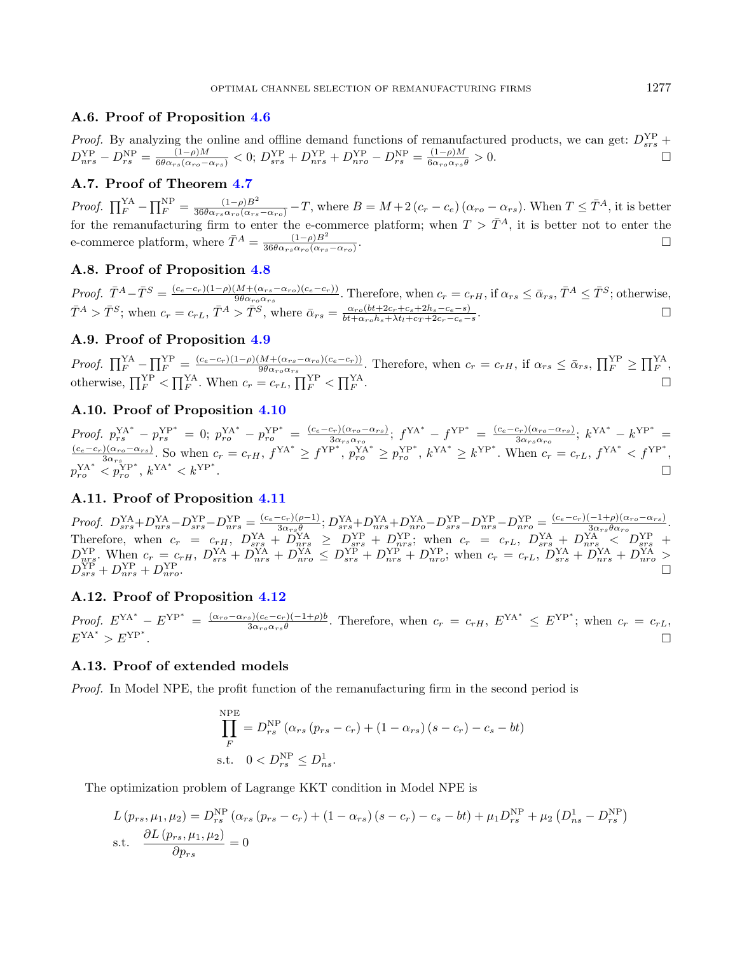# A.6. Proof of Proposition [4.6](#page-10-0)

*Proof.* By analyzing the online and offline demand functions of remanufactured products, we can get:  $D_{srs}^{YP}$  +  $D_{nrs}^{\text{YP}} - D_{rs}^{\text{NP}} = \frac{(1-\rho)M}{6\theta\alpha_{rs}(\alpha_{ro}-\alpha_{rs})} < 0;$   $D_{srs}^{\text{YP}} + D_{nrs}^{\text{YP}} + D_{nro}^{\text{YP}} - D_{rs}^{\text{NP}} = \frac{(1-\rho)M}{6\alpha_{ro}\alpha_{rs}\theta} > 0.$ 

# A.7. Proof of Theorem [4.7](#page-11-0)

Proof.  $\prod_{F}^{YA} - \prod_{F}^{NP} = \frac{(1-\rho)B^2}{36\theta\alpha_{rs}\alpha_{ro}(\alpha_{rs}-\alpha_{ro})} - T$ , where  $B = M + 2(c_r - c_e)(\alpha_{ro} - \alpha_{rs})$ . When  $T \leq \bar{T}^A$ , it is better for the remanufacturing firm to enter the e-commerce platform; when  $T > \bar{T}^{A}$ , it is better not to enter the e-commerce platform, where  $\bar{T}^A = \frac{(1-\rho)B^2}{36\theta\alpha\sigma_0\alpha\gamma_0}$  $\frac{(1-\rho)B^2}{36\theta\alpha_{rs}\alpha_{ro}(\alpha_{rs}-\alpha_{ro})}.$ 

# A.8. Proof of Proposition [4.8](#page-11-1)

Proof.  $\bar{T}^A - \bar{T}^S = \frac{(c_e - c_r)(1-\rho)(M + (\alpha_{rs} - \alpha_{ro})(c_e - c_r))}{9\theta\alpha_{rs}\alpha_{rs}}$  $\frac{(M + (\alpha_{rs} - \alpha_{ro})(c_e - c_r))}{9\theta\alpha_{ro}\alpha_{rs}}$ . Therefore, when  $c_r = c_{rH}$ , if  $\alpha_{rs} \le \bar{\alpha}_{rs}$ ,  $\bar{T}^A \le \bar{T}^S$ ; otherwise,  $\bar{T}^A > \bar{T}^S$ ; when  $c_r = c_{rL}, \bar{T}^A > \bar{T}^S$ , where  $\bar{\alpha}_{rs} = \frac{\alpha_{ro}(bt + 2c_r + c_s + 2h_s - c_e - s)}{bt + \alpha_{ro}h_s + \lambda tt + cx + 2c_r - c_e - s}$  $\frac{\alpha_{ro}(bt+2c_r+c_s+2h_s-c_e-s)}{bt+\alpha_{ro}h_s+\lambda t_l+c_T+2c_r-c_e-s}.$ 

# A.9. Proof of Proposition [4.9](#page-12-1)

Proof.  $\prod_{F}^{YA} - \prod_{F}^{YP} = \frac{(c_e - c_r)(1 - \rho)(M + (\alpha_{rs} - \alpha_{ro})(c_e - c_r))}{9\theta\alpha_{ro}\alpha_{rs}}$  $\frac{(M + (\alpha_{rs} - \alpha_{ro})(c_e - c_r))}{9\theta\alpha_{ro}\alpha_{rs}}$ . Therefore, when  $c_r = c_{rH}$ , if  $\alpha_{rs} \le \bar{\alpha}_{rs}$ ,  $\prod_{F}^{YP} \ge \prod_{F}^{YA}$ , otherwise,  $\prod_{F}^{YP} < \prod_{F}^{YA}$ . When  $c_r = c_{rL}$ ,  $\prod_{F}^{YP} < \prod_{F}^{YA}$ .

# A.10. Proof of Proposition [4.10](#page-12-2)

Proof.  $p_{rs}^{\text{YA}*} - p_{rs}^{\text{YP}*} = 0$ ;  $p_{ro}^{\text{YA}*} - p_{ro}^{\text{YP}*} = \frac{(c_e - c_r)(\alpha_{ro} - \alpha_{rs})}{3\alpha_{rs}\alpha_{ro}}$  $\frac{f_{cr}(a_{ro}-a_{rs})}{3\alpha_{rs}\alpha_{ro}}$ ;  $f^{YA^*} - f^{YP^*} = \frac{(c_e-c_r)(\alpha_{ro}-\alpha_{rs})}{3\alpha_{rs}\alpha_{ro}}$  $\frac{(c_r)(\alpha_{ro}-\alpha_{rs})}{3\alpha_{rs}\alpha_{ro}}$ ;  $k^{\text{YA}^*} - k^{\text{YP}^*} =$  $(c_e-c_r)(\alpha_{ro}-\alpha_{rs})$  $\frac{f(x_{r0}-x_{rs})}{3\alpha_{rs}}$ . So when  $c_r = c_{rH}$ ,  $f^{YA^*} \ge f^{YP^*}$ ,  $p_{ro}^{YA^*} \ge p_{ro}^{YP^*}$ ,  $k^{YA^*} \ge k^{YP^*}$ . When  $c_r = c_{rL}$ ,  $f^{YA^*} < f^{YP^*}$ ,  $p_{ro}^{\text{YA}*} < p_{ro}^{\text{YP}*}$ ,  $k^{\text{YA}*} < k^{\text{YP}*}$ .

# A.11. Proof of Proposition [4.11](#page-13-0)

Proof.  $D_{srs}^{\text{YA}} + D_{nrs}^{\text{YA}} - D_{srs}^{\text{YP}} - D_{nrs}^{\text{YP}} = \frac{(c_e - c_r)(\rho - 1)}{3\alpha_{rs}\theta}$  $\frac{-c_r)(\rho-1)}{3\alpha_{rs}\theta};D_{srs}^{\text{YA}}+D_{nrs}^{\text{YA}}+D_{nro}^{\text{YA}}-D_{srs}^{\text{YP}}-D_{nrs}^{\text{YP}}-D_{nro}^{\text{YP}}=\frac{(c_e-c_r)(-1+\rho)(\alpha_{ro}-\alpha_{rs})}{3\alpha_{rs}\theta\alpha_{ro}}$  $\frac{(-1+\rho)(\alpha_{ro}-\alpha_{rs})}{3\alpha_{rs}\theta\alpha_{ro}}.$ Therefore, when  $c_r = c_{rH}$ ,  $D_{srs}^{YA} + D_{nrs}^{YA} \geq D_{srs}^{YP} + D_{nrs}^{YP}$ ; when  $c_r = c_{rL}$ ,  $D_{srs}^{YA} + D_{nrs}^{YA} < D_{srs}^{YP} + D_{nrs}^{Y}$  $D_{nrs}^{YP}$ . When  $c_r = c_{rH}$ ,  $D_{srs}^{YA} + D_{nrs}^{YA} + D_{nrs}^{YA} \leq D_{srs}^{YP} + D_{nrs}^{YP} + D_{nrs}^{YP}$ ; when  $c_r = c_{rL}$ ,  $D_{srs}^{YA} + D_{nrs}^{YA} + D_{nro}^{YA} > D_{nrs}^{Y}$  $D_{srs}^{YP} + D_{nrs}^{NP} + D_{nro}^{YP}$ .

# A.12. Proof of Proposition [4.12](#page-13-1)

Proof.  $E^{YA^*} - E^{YP^*} = \frac{(\alpha_{ro} - \alpha_{rs})(c_e - c_r)(-1+\rho)b}{3\alpha_{or} \rho}$  $\frac{s}{3\alpha_{r o} \alpha_{r s} \theta}$ . Therefore, when  $c_r = c_{r H}$ ,  $E^{YA^*} \leq E^{YP^*}$ ; when  $c_r = c_{r L}$ ,  $E^{YA^*} > E^{YP^*}$ .

#### A.13. Proof of extended models

Proof. In Model NPE, the profit function of the remanufacturing firm in the second period is

$$
\prod_{F}^{NPE} = D_{rs}^{NP} (\alpha_{rs} (p_{rs} - c_r) + (1 - \alpha_{rs}) (s - c_r) - c_s - bt)
$$
  
s.t. 
$$
0 < D_{rs}^{NP} \leq D_{ns}^1.
$$

The optimization problem of Lagrange KKT condition in Model NPE is

$$
L(p_{rs}, \mu_1, \mu_2) = D_{rs}^{\text{NP}} (\alpha_{rs} (p_{rs} - c_r) + (1 - \alpha_{rs}) (s - c_r) - c_s - bt) + \mu_1 D_{rs}^{\text{NP}} + \mu_2 (D_{ns}^1 - D_{rs}^{\text{NP}})
$$
  
s.t. 
$$
\frac{\partial L(p_{rs}, \mu_1, \mu_2)}{\partial p_{rs}} = 0
$$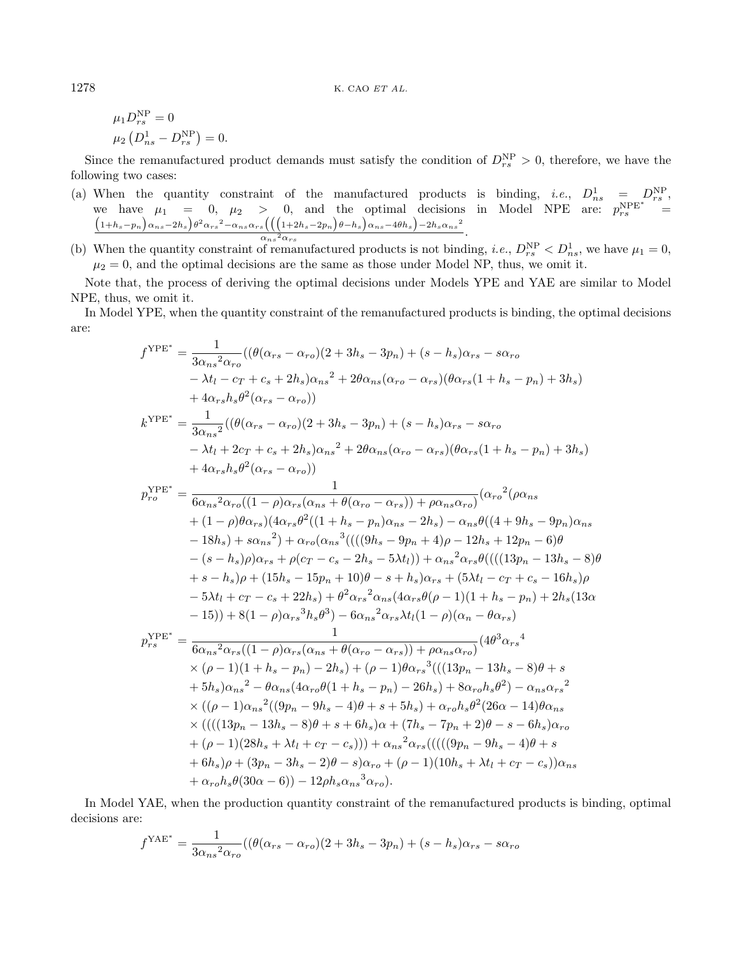$$
\mu_1 D_{rs}^{\text{NP}} = 0
$$
  

$$
\mu_2 \left( D_{ns}^1 - D_{rs}^{\text{NP}} \right) = 0.
$$

Since the remanufactured product demands must satisfy the condition of  $D_{rs}^{\text{NP}} > 0$ , therefore, we have the following two cases:

- (a) When the quantity constraint of the manufactured products is binding, *i.e.*,  $D_{ns}^1 = D_{rs}^{\text{NP}}$ , we have  $\mu_1 = 0$ ,  $\mu_2 > 0$ , and the optimal decisions in Model NPE are:  $p_{rs}^{\text{NPE*}} = (1+h_s-p_n)\alpha_{ns}-2h_s\beta^2\alpha_{rs}^2-\alpha_{ns}\alpha_{rs}((1+2h_s-p_n)e-h_s)\alpha_{ns}-4\theta h_s)-2h_s\alpha_{ns}^2$  $\frac{S((1 + 2n_S - 2pn) \sigma n_S) \alpha_{ns} \cos \beta - 2n_S \alpha_{ns}}{\alpha_{ns}^2 \alpha_{rs}}$ .
- (b) When the quantity constraint of remanufactured products is not binding, *i.e.*,  $D_{rs}^{NP} < D_{ns}^1$ , we have  $\mu_1 = 0$ ,  $\mu_2 = 0$ , and the optimal decisions are the same as those under Model NP, thus, we omit it.

Note that, the process of deriving the optimal decisions under Models YPE and YAE are similar to Model NPE, thus, we omit it.

In Model YPE, when the quantity constraint of the remanufactured products is binding, the optimal decisions are:

$$
f^{YPE^{*}} = \frac{1}{3\alpha_{ns}^{2}\alpha_{ro}}((\theta(\alpha_{rs} - \alpha_{ro})(2 + 3h_{s} - 3p_{n}) + (s - h_{s})\alpha_{rs} - s\alpha_{ro} - \lambda t_{l} - c_{T} + c_{s} + 2h_{s})\alpha_{ns}^{2} + 2\theta\alpha_{ns}(\alpha_{ro} - \alpha_{rs})(\theta\alpha_{rs}(1 + h_{s} - p_{n}) + 3h_{s}) + 4\alpha_{rs}h_{s}\theta^{2}(\alpha_{rs} - \alpha_{ro}))
$$
  
\n
$$
k^{YPE^{*}} = \frac{1}{3\alpha_{ns}^{2}}((\theta(\alpha_{rs} - \alpha_{ro})(2 + 3h_{s} - 3p_{n}) + (s - h_{s})\alpha_{rs} - s\alpha_{ro} - \lambda t_{l} + 2c_{T} + c_{s} + 2h_{s})\alpha_{ns}^{2} + 2\theta\alpha_{ns}(\alpha_{ro} - \alpha_{rs})(\theta\alpha_{rs}(1 + h_{s} - p_{n}) + 3h_{s}) + 4\alpha_{rs}h_{s}\theta^{2}(\alpha_{rs} - \alpha_{ro}))
$$
  
\n
$$
p_{ro}^{YPE^{*}} = \frac{1}{6\alpha_{ns}^{2}\alpha_{ro}((1 - \rho)\alpha_{rs}(\alpha_{ns} + \theta(\alpha_{ro} - \alpha_{rs})) + \rho\alpha_{ns}\alpha_{ro})}(\alpha_{ro}^{2}(\rho\alpha_{ns} + (1 - \rho)\theta\alpha_{rs})(\alpha_{rs}^{2})(1 + h_{s} - p_{n})\alpha_{ns} - 2h_{s}) - \alpha_{ns}\theta((4 + 9h_{s} - 9p_{n})\alpha_{ns} - 18h_{s}) + s\alpha_{ns}^{2}) + \alpha_{ro}(\alpha_{ns}^{3}(((9h_{s} - 9p_{n} + 4)\rho - 12h_{s} + 12p_{n} - 6)\theta - (s - h_{s})\rho\alpha_{rs} + \rho(c_{T} - c_{s} - 2h_{s} - 5\lambda t_{l})) + \alpha_{ns}^{2}\alpha_{rs}\theta(((13p_{n} - 13h_{s} - 8)\theta + s - h_{s})\rho + (15h_{s} - 15p_{n} + 10)\theta - s + h_{s})\alpha_{rs} + (5\lambda t_{l} - c_{T} + c
$$

In Model YAE, when the production quantity constraint of the remanufactured products is binding, optimal decisions are:

$$
f^{\text{YAE}^*} = \frac{1}{3\alpha_{ns}^2 \alpha_{ro}} ((\theta(\alpha_{rs} - \alpha_{ro})(2 + 3h_s - 3p_n) + (s - h_s)\alpha_{rs} - s\alpha_{ro})
$$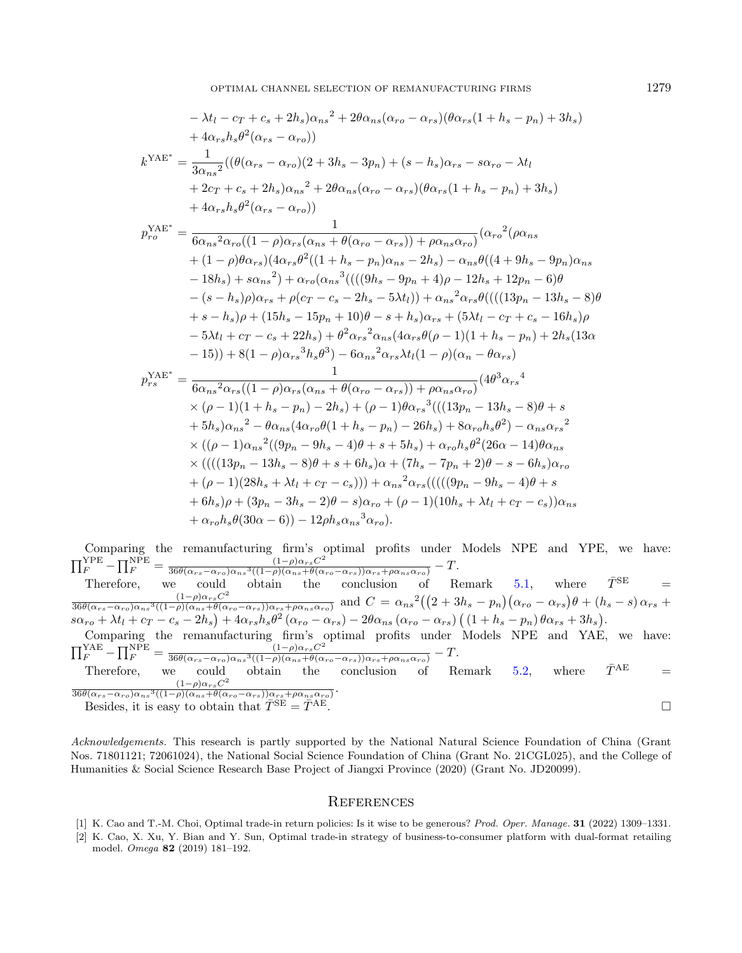$$
-\lambda t_{l} - c_{T} + c_{s} + 2h_{s})\alpha_{ns}^{2} + 2\theta\alpha_{ns}(\alpha_{ro} - \alpha_{rs})(\theta\alpha_{rs}(1 + h_{s} - p_{n}) + 3h_{s})
$$
  
+  $4\alpha_{rs}h_{s}\theta^{2}(\alpha_{rs} - \alpha_{ro}))$   

$$
k^{YAE^{*}} = \frac{1}{3\alpha_{ns}^{2}}((\theta(\alpha_{rs} - \alpha_{ro})(2 + 3h_{s} - 3p_{n}) + (s - h_{s})\alpha_{rs} - s\alpha_{ro} - \lambda t_{l}
$$
  
+  $2c_{T} + c_{s} + 2h_{s})\alpha_{ns}^{2} + 2\theta\alpha_{ns}(\alpha_{ro} - \alpha_{rs})(\theta\alpha_{rs}(1 + h_{s} - p_{n}) + 3h_{s})$   
+  $4\alpha_{rs}h_{s}\theta^{2}(\alpha_{rs} - \alpha_{ro}))$   

$$
p_{ro}^{YAE^{*}} = \frac{1}{6\alpha_{ns}^{2}\alpha_{ro}((1 - \rho)\alpha_{rs}(\alpha_{ns} + \theta(\alpha_{ro} - \alpha_{rs})) + \rho\alpha_{ns}\alpha_{ro})}(\alpha_{ro}^{2}(\rho\alpha_{ns} + (1 - \rho)\theta\alpha_{rs})(4\alpha_{rs}\theta^{2}((1 + h_{s} - p_{n})\alpha_{ns} - 2h_{s}) - \alpha_{ns}\theta((4 + 9h_{s} - 9p_{n})\alpha_{ns} - 18h_{s}) + s\alpha_{ns}^{2}) + \alpha_{ro}(\alpha_{ns}^{3}(((9h_{s} - 9p_{n} + 4)\rho - 12h_{s} + 12p_{n} - 6)\theta - (s - h_{s})\rho\alpha_{rs} + \rho(c_{T} - c_{s} - 2h_{s} - 5\lambda t_{l})) + \alpha_{ns}^{2}\alpha_{rs}\theta(((13p_{n} - 13h_{s} - 8)\theta + s - h_{s})\rho + (15h_{s} - 15p_{n} + 10)\theta - s + h_{s})\alpha_{rs} + (5\lambda t_{l} - c_{T} + c_{s} - 16h_{s})\rho - 5\lambda t_{l} + c_{T} - c_{s} + 22h_{s}) + \theta^{2}\alpha_{rs}^{2}(\alpha_{ns}(4\alpha_{rs}\theta(\rho - 1)(1
$$

Comparing the remanufacturing firm's optimal profits under Models NPE and YPE, we have:  $\prod_{F}^{\text{YPE}} - \prod_{F}^{\text{NPE}} = \frac{(1-\rho)\alpha_{rs}C^2}{36\theta(\alpha_{rs}-\alpha_{ro})\alpha_{ns}^3((1-\rho)(\alpha_{ns}+\theta)\alpha_{s})}$  $\frac{(1-\rho)\alpha_{rs}C}{36\theta(\alpha_{rs}-\alpha_{ro})\alpha_{ns}^3((1-\rho)(\alpha_{ns}+\theta(\alpha_{ro}-\alpha_{rs}))\alpha_{rs}+\rho\alpha_{ns}\alpha_{ro})}-T.$ Therefore, we could obtain the conclusion of Remark [5.1,](#page-15-0) where  $\bar{T}^{\text{SE}}$  =  $(1-\rho)\alpha_{rs}C^2$  $\frac{(1-\rho)\alpha_{rs}C^2}{36\theta(\alpha_{rs}-\alpha_{ro})\alpha_{ns}^3((1-\rho)(\alpha_{ns}+\theta(\alpha_{ro}-\alpha_{rs}))\alpha_{rs}+\rho\alpha_{ns}\alpha_{ro})}$  and  $C=\alpha_{ns}^2((2+3h_s-p_n)(\alpha_{ro}-\alpha_{rs})\theta+(h_s-s)\alpha_{rs}+h_s\theta(\alpha_{ro}-\alpha_{rs})\theta$  $s\alpha_{ro} + \lambda t_l + c_T - c_s - 2h_s + 4\alpha_{rs}h_s\theta^2(\alpha_{ro} - \alpha_{rs}) - 2\theta\alpha_{ns}(\alpha_{ro} - \alpha_{rs})((1+h_s-p_n)\theta\alpha_{rs} + 3h_s).$ Comparing the remanufacturing firm's optimal profits under Models NPE and YAE, we have:  $\prod_{F}^{YAE} - \prod_{F}^{NPE} = \frac{(1-\rho)\alpha_{rs}C^2}{36\theta(\alpha_{rs}-\alpha_{ro})\alpha_{ns}^3((1-\rho)(\alpha_{ns}+\theta(\alpha_{ro})))}$  $\frac{(1-\rho)\alpha_{rs}C}{36\theta(\alpha_{rs}-\alpha_{ro})\alpha_{ns}^3((1-\rho)(\alpha_{ns}+\theta(\alpha_{ro}-\alpha_{rs}))\alpha_{rs}+\rho\alpha_{ns}\alpha_{ro})}-T.$ Therefore, we could obtain the conclusion of Remark [5.2,](#page-15-2) where  $\bar{T}^{AE}$  =

<span id="page-20-0"></span> $(1-\rho)\alpha_{rs}C^2$  $36\theta(\alpha_{rs}-\alpha_{ro})\alpha_{ns}^3((1-\rho)(\alpha_{ns}+\theta(\alpha_{ro}-\alpha_{rs}))\alpha_{rs}+\rho\alpha_{ns}\alpha_{ro})$ . Besides, it is easy to obtain that  $\bar{T}^{\text{SE}} = \bar{T}^{\text{AE}}$ .

Acknowledgements. This research is partly supported by the National Natural Science Foundation of China (Grant Nos. 71801121; 72061024), the National Social Science Foundation of China (Grant No. 21CGL025), and the College of Humanities & Social Science Research Base Project of Jiangxi Province (2020) (Grant No. JD20099).

#### **REFERENCES**

- [1] K. Cao and T.-M. Choi, Optimal trade-in return policies: Is it wise to be generous? Prod. Oper. Manage. 31 (2022) 1309–1331.
- [2] K. Cao, X. Xu, Y. Bian and Y. Sun, Optimal trade-in strategy of business-to-consumer platform with dual-format retailing model. Omega 82 (2019) 181–192.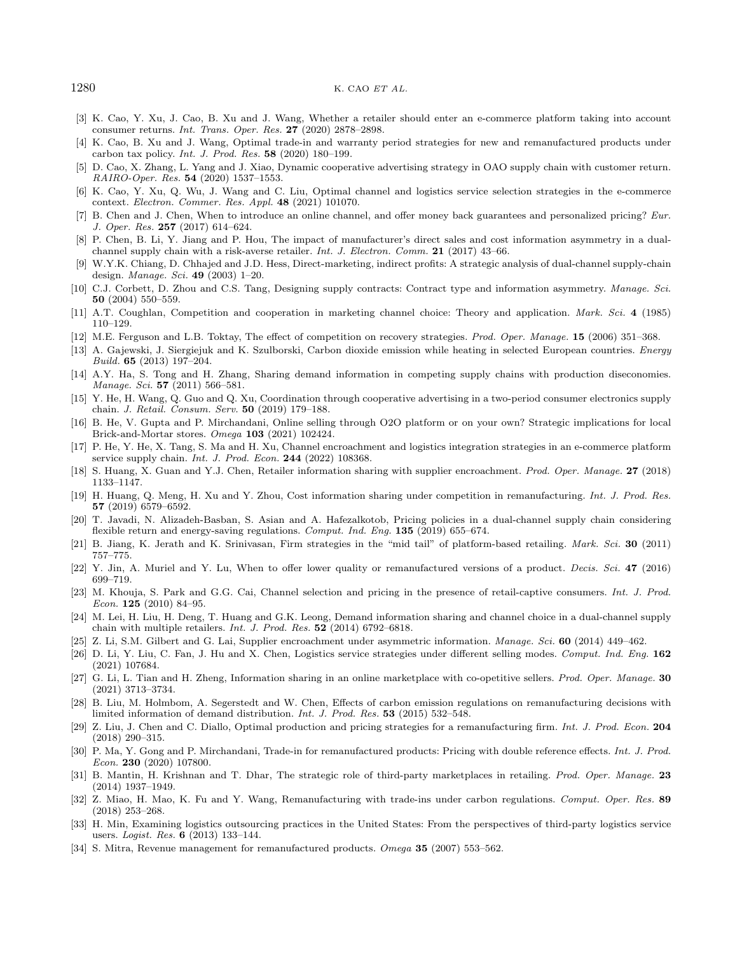- <span id="page-21-28"></span><span id="page-21-24"></span><span id="page-21-20"></span><span id="page-21-18"></span><span id="page-21-11"></span><span id="page-21-5"></span><span id="page-21-2"></span><span id="page-21-0"></span>[3] K. Cao, Y. Xu, J. Cao, B. Xu and J. Wang, Whether a retailer should enter an e-commerce platform taking into account consumer returns. Int. Trans. Oper. Res. 27 (2020) 2878–2898.
- <span id="page-21-10"></span>[4] K. Cao, B. Xu and J. Wang, Optimal trade-in and warranty period strategies for new and remanufactured products under carbon tax policy. Int. J. Prod. Res. 58 (2020) 180–199.
- <span id="page-21-29"></span><span id="page-21-1"></span>[5] D. Cao, X. Zhang, L. Yang and J. Xiao, Dynamic cooperative advertising strategy in OAO supply chain with customer return. RAIRO-Oper. Res. 54 (2020) 1537–1553.
- <span id="page-21-15"></span>[6] K. Cao, Y. Xu, Q. Wu, J. Wang and C. Liu, Optimal channel and logistics service selection strategies in the e-commerce context. Electron. Commer. Res. Appl. 48 (2021) 101070.
- <span id="page-21-27"></span>B. Chen and J. Chen, When to introduce an online channel, and offer money back guarantees and personalized pricing? Eur. J. Oper. Res. 257 (2017) 614–624.
- <span id="page-21-14"></span>[8] P. Chen, B. Li, Y. Jiang and P. Hou, The impact of manufacturer's direct sales and cost information asymmetry in a dualchannel supply chain with a risk-averse retailer. *Int. J. Electron. Comm.* 21 (2017) 43–66.
- <span id="page-21-25"></span>[9] W.Y.K. Chiang, D. Chhajed and J.D. Hess, Direct-marketing, indirect profits: A strategic analysis of dual-channel supply-chain design. Manage. Sci. 49 (2003) 1–20.
- <span id="page-21-17"></span>[10] C.J. Corbett, D. Zhou and C.S. Tang, Designing supply contracts: Contract type and information asymmetry. Manage. Sci. 50 (2004) 550–559.
- <span id="page-21-4"></span>[11] A.T. Coughlan, Competition and cooperation in marketing channel choice: Theory and application. Mark. Sci. 4 (1985) 110–129.
- <span id="page-21-19"></span>[12] M.E. Ferguson and L.B. Toktay, The effect of competition on recovery strategies. Prod. Oper. Manage. 15 (2006) 351–368.
- [13] A. Gajewski, J. Siergiejuk and K. Szulborski, Carbon dioxide emission while heating in selected European countries. Energy Build. 65 (2013) 197–204.
- <span id="page-21-22"></span>[14] A.Y. Ha, S. Tong and H. Zhang, Sharing demand information in competing supply chains with production diseconomies. Manage. Sci. **57** (2011) 566-581.
- [15] Y. He, H. Wang, Q. Guo and Q. Xu, Coordination through cooperative advertising in a two-period consumer electronics supply chain. J. Retail. Consum. Serv. 50 (2019) 179–188.
- <span id="page-21-13"></span>[16] B. He, V. Gupta and P. Mirchandani, Online selling through O2O platform or on your own? Strategic implications for local Brick-and-Mortar stores. Omega 103 (2021) 102424.
- <span id="page-21-12"></span>[17] P. He, Y. He, X. Tang, S. Ma and H. Xu, Channel encroachment and logistics integration strategies in an e-commerce platform service supply chain. *Int. J. Prod. Econ.* **244** (2022) 108368.
- <span id="page-21-26"></span><span id="page-21-16"></span>[18] S. Huang, X. Guan and Y.J. Chen, Retailer information sharing with supplier encroachment. Prod. Oper. Manage. 27 (2018) 1133–1147.
- <span id="page-21-3"></span>[19] H. Huang, Q. Meng, H. Xu and Y. Zhou, Cost information sharing under competition in remanufacturing. Int. J. Prod. Res. 57 (2019) 6579–6592.
- <span id="page-21-8"></span>[20] T. Javadi, N. Alizadeh-Basban, S. Asian and A. Hafezalkotob, Pricing policies in a dual-channel supply chain considering flexible return and energy-saving regulations. Comput. Ind. Eng. 135 (2019) 655–674.
- <span id="page-21-7"></span>[21] B. Jiang, K. Jerath and K. Srinivasan, Firm strategies in the "mid tail" of platform-based retailing. Mark. Sci. 30 (2011) 757–775.
- <span id="page-21-30"></span>[22] Y. Jin, A. Muriel and Y. Lu, When to offer lower quality or remanufactured versions of a product. Decis. Sci. 47 (2016) 699–719.
- <span id="page-21-23"></span>[23] M. Khouja, S. Park and G.G. Cai, Channel selection and pricing in the presence of retail-captive consumers. Int. J. Prod. Econ. 125 (2010) 84–95.
- <span id="page-21-9"></span>[24] M. Lei, H. Liu, H. Deng, T. Huang and G.K. Leong, Demand information sharing and channel choice in a dual-channel supply chain with multiple retailers. Int. J. Prod. Res. 52 (2014) 6792–6818.
- <span id="page-21-21"></span>[25] Z. Li, S.M. Gilbert and G. Lai, Supplier encroachment under asymmetric information. Manage. Sci. 60 (2014) 449–462.
- [26] D. Li, Y. Liu, C. Fan, J. Hu and X. Chen, Logistics service strategies under different selling modes. Comput. Ind. Eng. 162 (2021) 107684.
- <span id="page-21-6"></span>[27] G. Li, L. Tian and H. Zheng, Information sharing in an online marketplace with co-opetitive sellers. Prod. Oper. Manage. 30 (2021) 3713–3734.
- [28] B. Liu, M. Holmbom, A. Segerstedt and W. Chen, Effects of carbon emission regulations on remanufacturing decisions with limited information of demand distribution. Int. J. Prod. Res. 53 (2015) 532–548.
- [29] Z. Liu, J. Chen and C. Diallo, Optimal production and pricing strategies for a remanufacturing firm. Int. J. Prod. Econ. 204 (2018) 290–315.
- [30] P. Ma, Y. Gong and P. Mirchandani, Trade-in for remanufactured products: Pricing with double reference effects. Int. J. Prod. Econ. 230 (2020) 107800.
- [31] B. Mantin, H. Krishnan and T. Dhar, The strategic role of third-party marketplaces in retailing. Prod. Oper. Manage. 23 (2014) 1937–1949.
- [32] Z. Miao, H. Mao, K. Fu and Y. Wang, Remanufacturing with trade-ins under carbon regulations. Comput. Oper. Res. 89 (2018) 253–268.
- [33] H. Min, Examining logistics outsourcing practices in the United States: From the perspectives of third-party logistics service users. Logist. Res. 6 (2013) 133–144.
- [34] S. Mitra, Revenue management for remanufactured products. Omega 35 (2007) 553–562.